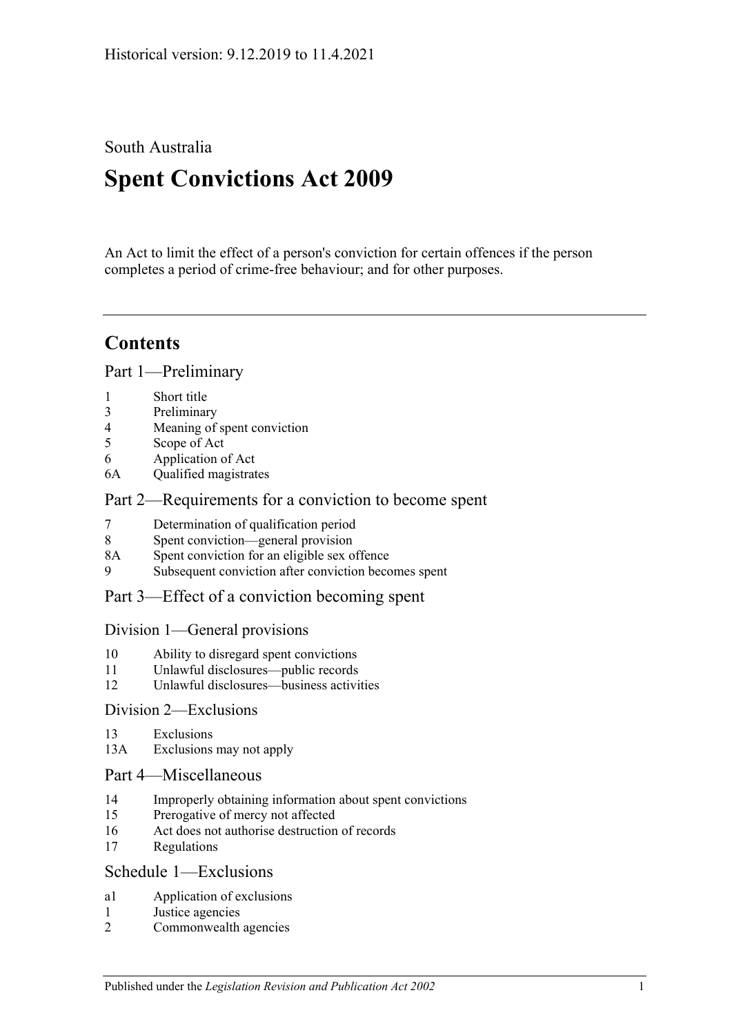South Australia

# **Spent Convictions Act 2009**

An Act to limit the effect of a person's conviction for certain offences if the person completes a period of crime-free behaviour; and for other purposes.

## **Contents**

[Part 1—Preliminary](#page-1-0)

| Short title |
|-------------|
|             |

- 3 [Preliminary](#page-1-2)
- 4 [Meaning of spent conviction](#page-6-0)
- 5 [Scope of](#page-7-0) Act
- 6 [Application of Act](#page-7-1)
- 6A [Qualified magistrates](#page-8-0)

## [Part 2—Requirements for a conviction to become spent](#page-8-1)

- 7 [Determination of qualification period](#page-8-2)
- 8 [Spent conviction—general provision](#page-9-0)
- 8A [Spent conviction for an eligible sex offence](#page-10-0)
- 9 [Subsequent conviction after conviction becomes spent](#page-11-0)

## [Part 3—Effect of a conviction becoming spent](#page-11-1)

## [Division 1—General provisions](#page-11-2)

- 10 [Ability to disregard spent convictions](#page-11-3)
- 11 [Unlawful disclosures—public records](#page-11-4)
- 12 [Unlawful disclosures—business activities](#page-12-0)

## [Division 2—Exclusions](#page-12-1)

- 13 [Exclusions](#page-12-2)
- 13A [Exclusions may not apply](#page-12-3)

## [Part 4—Miscellaneous](#page-13-0)

- 14 [Improperly obtaining information about spent convictions](#page-13-1)
- 15 [Prerogative of mercy not affected](#page-13-2)
- 16 [Act does not authorise destruction of records](#page-14-0)
- 17 [Regulations](#page-14-1)

## [Schedule 1—Exclusions](#page-14-2)

- a1 [Application of exclusions](#page-14-3)
- 1 [Justice agencies](#page-14-4)
- 2 [Commonwealth agencies](#page-15-0)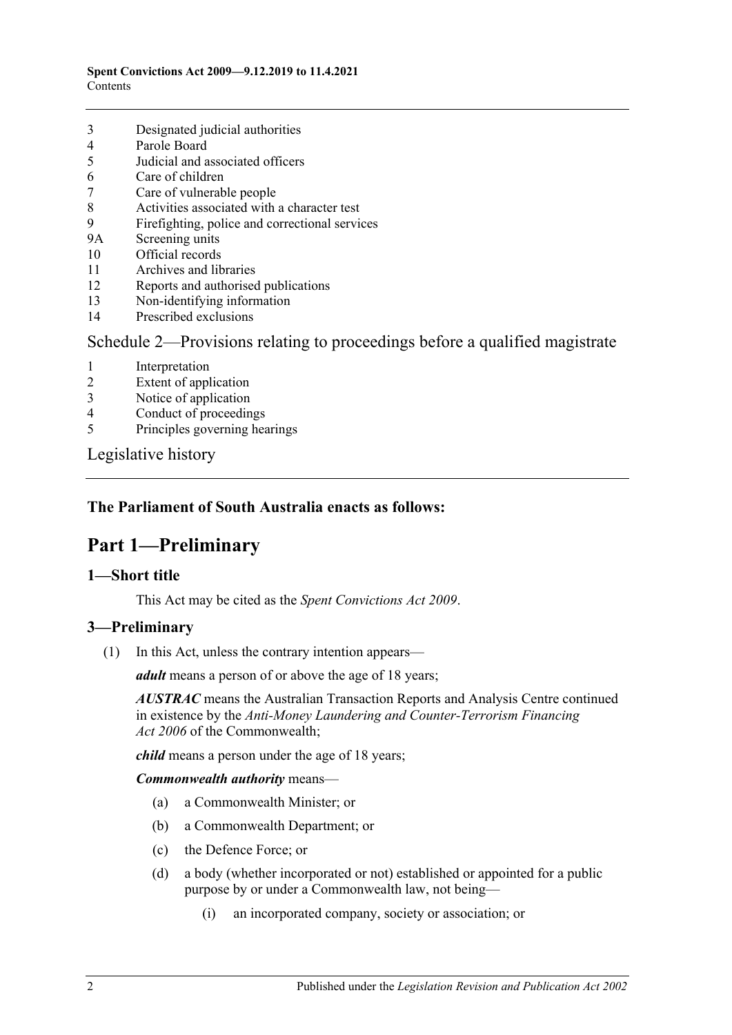#### **Spent Convictions Act 2009—9.12.2019 to 11.4.2021** Contents

- 3 [Designated judicial authorities](#page-15-1)
- 4 [Parole Board](#page-15-2)
- 5 [Judicial and associated officers](#page-16-0)
- 6 [Care of children](#page-16-1)
- 7 [Care of vulnerable people](#page-16-2)
- 8 <b>8</b> [Activities associated with a character test](#page-17-0)<br>9 Friefishting, police and correctional servi
- [Firefighting, police and correctional services](#page-17-1)
- 9A [Screening units](#page-18-0)
- 10 [Official records](#page-18-1)
- 11 [Archives and libraries](#page-19-0)
- 12 [Reports and authorised publications](#page-19-1)
- 13 [Non-identifying information](#page-19-2)
- 14 [Prescribed exclusions](#page-19-3)

#### [Schedule 2—Provisions relating to proceedings before a qualified magistrate](#page-19-4)

- 1 [Interpretation](#page-19-5)
- 2 [Extent of application](#page-19-6)
- 3 [Notice of application](#page-19-7)
- 4 [Conduct of proceedings](#page-20-0)
- 5 [Principles governing hearings](#page-20-1)

[Legislative history](#page-22-0)

## <span id="page-1-0"></span>**The Parliament of South Australia enacts as follows:**

## **Part 1—Preliminary**

#### <span id="page-1-1"></span>**1—Short title**

This Act may be cited as the *Spent Convictions Act 2009*.

## <span id="page-1-3"></span><span id="page-1-2"></span>**3—Preliminary**

(1) In this Act, unless the contrary intention appears—

*adult* means a person of or above the age of 18 years;

*AUSTRAC* means the Australian Transaction Reports and Analysis Centre continued in existence by the *Anti-Money Laundering and Counter-Terrorism Financing Act 2006* of the Commonwealth;

*child* means a person under the age of 18 years;

*Commonwealth authority* means—

- (a) a Commonwealth Minister; or
- (b) a Commonwealth Department; or
- (c) the Defence Force; or
- (d) a body (whether incorporated or not) established or appointed for a public purpose by or under a Commonwealth law, not being—
	- (i) an incorporated company, society or association; or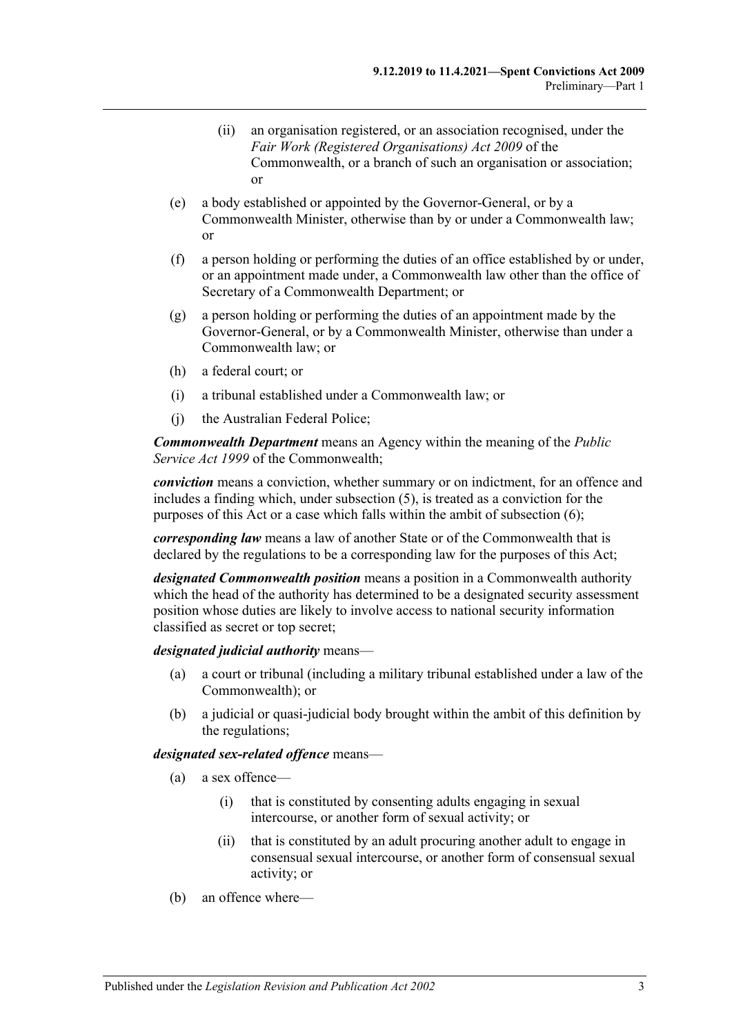- (ii) an organisation registered, or an association recognised, under the *Fair Work (Registered Organisations) Act 2009* of the Commonwealth, or a branch of such an organisation or association; or
- (e) a body established or appointed by the Governor-General, or by a Commonwealth Minister, otherwise than by or under a Commonwealth law; or
- (f) a person holding or performing the duties of an office established by or under, or an appointment made under, a Commonwealth law other than the office of Secretary of a Commonwealth Department; or
- (g) a person holding or performing the duties of an appointment made by the Governor-General, or by a Commonwealth Minister, otherwise than under a Commonwealth law; or
- (h) a federal court; or
- (i) a tribunal established under a Commonwealth law; or
- (j) the Australian Federal Police;

*Commonwealth Department* means an Agency within the meaning of the *Public Service Act 1999* of the Commonwealth;

*conviction* means a conviction, whether summary or on indictment, for an offence and includes a finding which, under [subsection](#page-6-1) (5), is treated as a conviction for the purposes of this Act or a case which falls within the ambit of [subsection](#page-6-2) (6);

*corresponding law* means a law of another State or of the Commonwealth that is declared by the regulations to be a corresponding law for the purposes of this Act;

*designated Commonwealth position* means a position in a Commonwealth authority which the head of the authority has determined to be a designated security assessment position whose duties are likely to involve access to national security information classified as secret or top secret;

#### *designated judicial authority* means—

- (a) a court or tribunal (including a military tribunal established under a law of the Commonwealth); or
- (b) a judicial or quasi-judicial body brought within the ambit of this definition by the regulations;

#### *designated sex-related offence* means—

- (a) a sex offence—
	- (i) that is constituted by consenting adults engaging in sexual intercourse, or another form of sexual activity; or
	- (ii) that is constituted by an adult procuring another adult to engage in consensual sexual intercourse, or another form of consensual sexual activity; or
- (b) an offence where—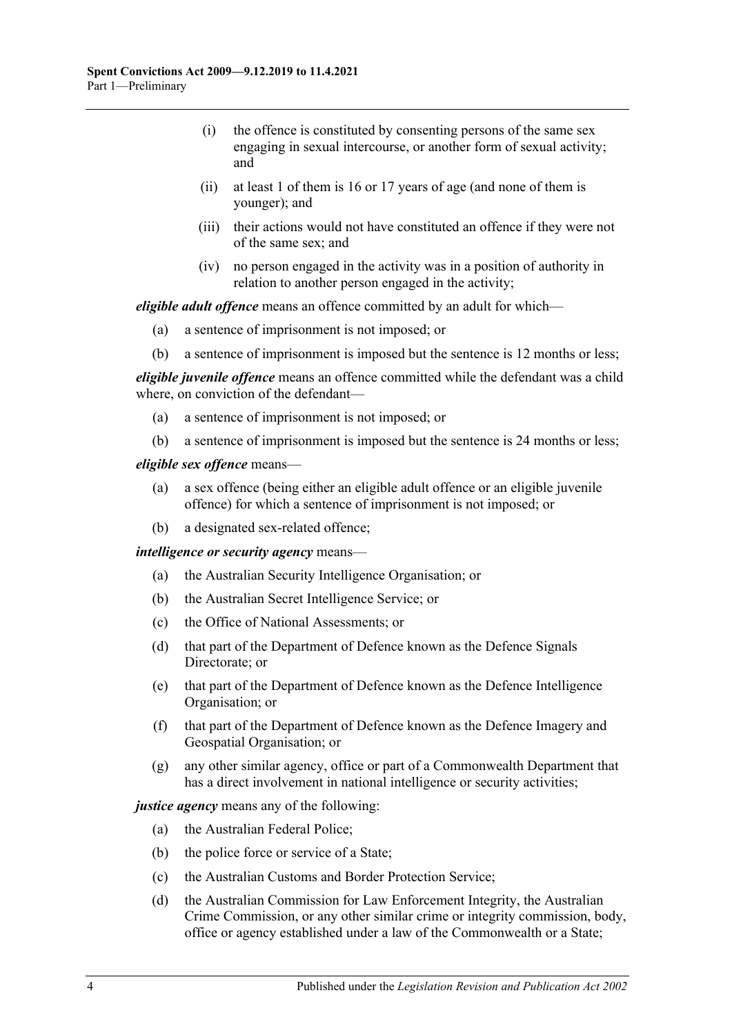- (i) the offence is constituted by consenting persons of the same sex engaging in sexual intercourse, or another form of sexual activity; and
- (ii) at least 1 of them is 16 or 17 years of age (and none of them is younger); and
- (iii) their actions would not have constituted an offence if they were not of the same sex; and
- (iv) no person engaged in the activity was in a position of authority in relation to another person engaged in the activity;

*eligible adult offence* means an offence committed by an adult for which—

- (a) a sentence of imprisonment is not imposed; or
- (b) a sentence of imprisonment is imposed but the sentence is 12 months or less;

*eligible juvenile offence* means an offence committed while the defendant was a child where, on conviction of the defendant—

- (a) a sentence of imprisonment is not imposed; or
- (b) a sentence of imprisonment is imposed but the sentence is 24 months or less;

#### *eligible sex offence* means—

- (a) a sex offence (being either an eligible adult offence or an eligible juvenile offence) for which a sentence of imprisonment is not imposed; or
- (b) a designated sex-related offence;

#### *intelligence or security agency* means—

- (a) the Australian Security Intelligence Organisation; or
- (b) the Australian Secret Intelligence Service; or
- (c) the Office of National Assessments; or
- (d) that part of the Department of Defence known as the Defence Signals Directorate; or
- (e) that part of the Department of Defence known as the Defence Intelligence Organisation; or
- (f) that part of the Department of Defence known as the Defence Imagery and Geospatial Organisation; or
- (g) any other similar agency, office or part of a Commonwealth Department that has a direct involvement in national intelligence or security activities;

#### *justice agency* means any of the following:

- (a) the Australian Federal Police;
- (b) the police force or service of a State;
- (c) the Australian Customs and Border Protection Service;
- (d) the Australian Commission for Law Enforcement Integrity, the Australian Crime Commission, or any other similar crime or integrity commission, body, office or agency established under a law of the Commonwealth or a State;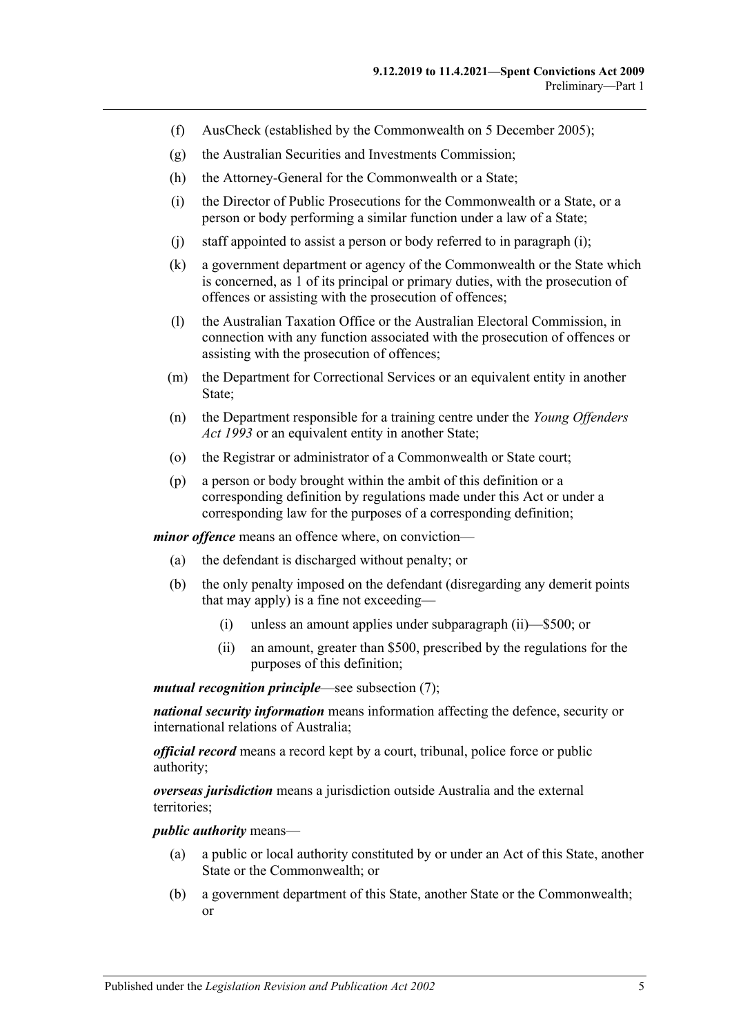- (f) AusCheck (established by the Commonwealth on 5 December 2005);
- (g) the Australian Securities and Investments Commission;
- <span id="page-4-0"></span>(h) the Attorney-General for the Commonwealth or a State;
- (i) the Director of Public Prosecutions for the Commonwealth or a State, or a person or body performing a similar function under a law of a State;
- (j) staff appointed to assist a person or body referred to in [paragraph](#page-4-0) (i);
- (k) a government department or agency of the Commonwealth or the State which is concerned, as 1 of its principal or primary duties, with the prosecution of offences or assisting with the prosecution of offences;
- (l) the Australian Taxation Office or the Australian Electoral Commission, in connection with any function associated with the prosecution of offences or assisting with the prosecution of offences;
- (m) the Department for Correctional Services or an equivalent entity in another State;
- (n) the Department responsible for a training centre under the *[Young Offenders](http://www.legislation.sa.gov.au/index.aspx?action=legref&type=act&legtitle=Young%20Offenders%20Act%201993)  Act [1993](http://www.legislation.sa.gov.au/index.aspx?action=legref&type=act&legtitle=Young%20Offenders%20Act%201993)* or an equivalent entity in another State;
- (o) the Registrar or administrator of a Commonwealth or State court;
- (p) a person or body brought within the ambit of this definition or a corresponding definition by regulations made under this Act or under a corresponding law for the purposes of a corresponding definition;

*minor offence* means an offence where, on conviction—

- (a) the defendant is discharged without penalty; or
- (b) the only penalty imposed on the defendant (disregarding any demerit points that may apply) is a fine not exceeding—
	- (i) unless an amount applies under [subparagraph](#page-4-1) (ii)—\$500; or
	- (ii) an amount, greater than \$500, prescribed by the regulations for the purposes of this definition;

<span id="page-4-1"></span>*mutual recognition principle*—see [subsection](#page-6-3) (7);

*national security information* means information affecting the defence, security or international relations of Australia;

*official record* means a record kept by a court, tribunal, police force or public authority;

*overseas jurisdiction* means a jurisdiction outside Australia and the external territories;

*public authority* means—

- (a) a public or local authority constituted by or under an Act of this State, another State or the Commonwealth; or
- (b) a government department of this State, another State or the Commonwealth; or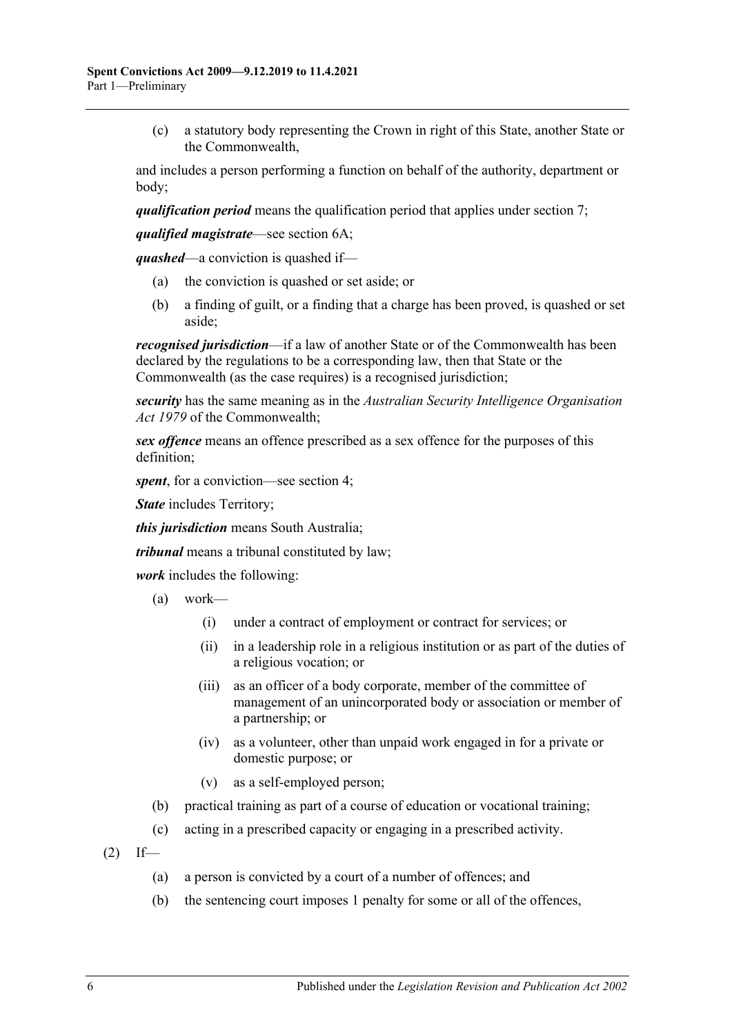(c) a statutory body representing the Crown in right of this State, another State or the Commonwealth,

and includes a person performing a function on behalf of the authority, department or body;

*qualification period* means the qualification period that applies under [section](#page-8-2) 7;

*qualified magistrate*—see [section](#page-8-0) 6A;

*quashed*—a conviction is quashed if—

- (a) the conviction is quashed or set aside; or
- (b) a finding of guilt, or a finding that a charge has been proved, is quashed or set aside;

*recognised jurisdiction*—if a law of another State or of the Commonwealth has been declared by the regulations to be a corresponding law, then that State or the Commonwealth (as the case requires) is a recognised jurisdiction;

*security* has the same meaning as in the *Australian Security Intelligence Organisation Act 1979* of the Commonwealth;

*sex offence* means an offence prescribed as a sex offence for the purposes of this definition;

*spent*, for a conviction—see [section](#page-6-0) 4;

*State* includes Territory;

*this jurisdiction* means South Australia;

*tribunal* means a tribunal constituted by law;

*work* includes the following:

- (a) work—
	- (i) under a contract of employment or contract for services; or
	- (ii) in a leadership role in a religious institution or as part of the duties of a religious vocation; or
	- (iii) as an officer of a body corporate, member of the committee of management of an unincorporated body or association or member of a partnership; or
	- (iv) as a volunteer, other than unpaid work engaged in for a private or domestic purpose; or
	- (v) as a self-employed person;
- (b) practical training as part of a course of education or vocational training;
- (c) acting in a prescribed capacity or engaging in a prescribed activity.
- $(2)$  If—
	- (a) a person is convicted by a court of a number of offences; and
	- (b) the sentencing court imposes 1 penalty for some or all of the offences,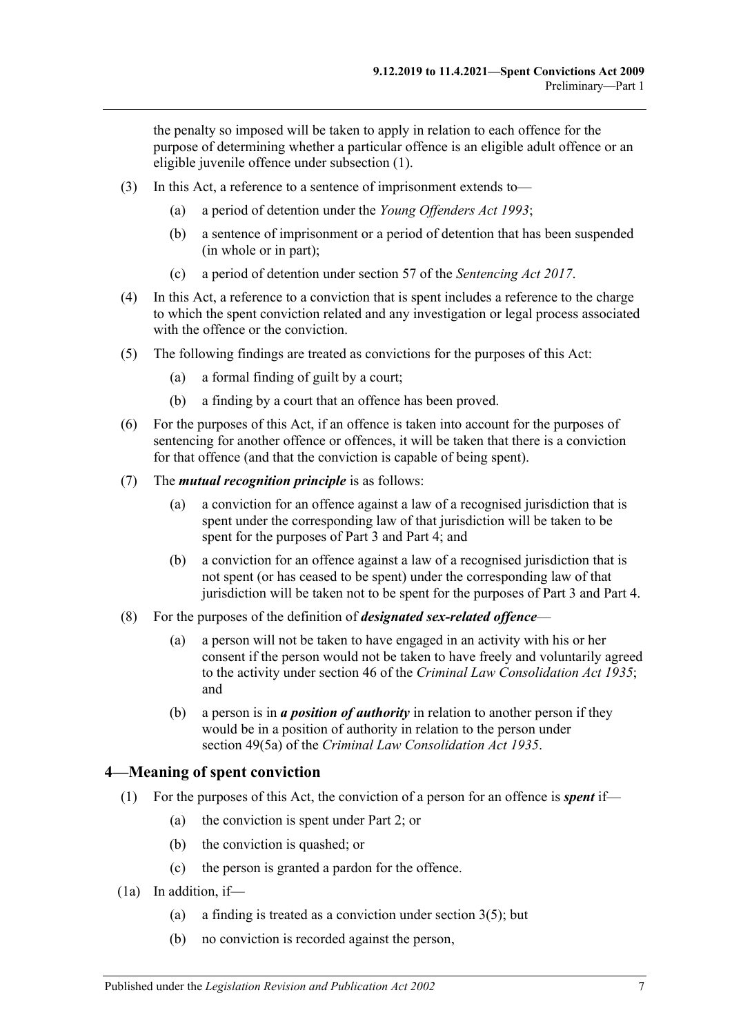the penalty so imposed will be taken to apply in relation to each offence for the purpose of determining whether a particular offence is an eligible adult offence or an eligible juvenile offence under [subsection](#page-1-3) (1).

- (3) In this Act, a reference to a sentence of imprisonment extends to—
	- (a) a period of detention under the *[Young Offenders Act](http://www.legislation.sa.gov.au/index.aspx?action=legref&type=act&legtitle=Young%20Offenders%20Act%201993) 1993*;
	- (b) a sentence of imprisonment or a period of detention that has been suspended (in whole or in part);
	- (c) a period of detention under section 57 of the *[Sentencing Act](http://www.legislation.sa.gov.au/index.aspx?action=legref&type=act&legtitle=Sentencing%20Act%202017) 2017*.
- (4) In this Act, a reference to a conviction that is spent includes a reference to the charge to which the spent conviction related and any investigation or legal process associated with the offence or the conviction.
- <span id="page-6-1"></span>(5) The following findings are treated as convictions for the purposes of this Act:
	- (a) a formal finding of guilt by a court;
	- (b) a finding by a court that an offence has been proved.
- <span id="page-6-2"></span>(6) For the purposes of this Act, if an offence is taken into account for the purposes of sentencing for another offence or offences, it will be taken that there is a conviction for that offence (and that the conviction is capable of being spent).
- <span id="page-6-3"></span>(7) The *mutual recognition principle* is as follows:
	- (a) a conviction for an offence against a law of a recognised jurisdiction that is spent under the corresponding law of that jurisdiction will be taken to be spent for the purposes of [Part 3](#page-11-1) and [Part 4;](#page-13-0) and
	- (b) a conviction for an offence against a law of a recognised jurisdiction that is not spent (or has ceased to be spent) under the corresponding law of that jurisdiction will be taken not to be spent for the purposes of [Part 3](#page-11-1) and [Part 4.](#page-13-0)
- (8) For the purposes of the definition of *designated sex-related offence*
	- (a) a person will not be taken to have engaged in an activity with his or her consent if the person would not be taken to have freely and voluntarily agreed to the activity under section 46 of the *[Criminal Law Consolidation Act](http://www.legislation.sa.gov.au/index.aspx?action=legref&type=act&legtitle=Criminal%20Law%20Consolidation%20Act%201935) 1935*; and
	- (b) a person is in *a position of authority* in relation to another person if they would be in a position of authority in relation to the person under section 49(5a) of the *[Criminal Law Consolidation Act](http://www.legislation.sa.gov.au/index.aspx?action=legref&type=act&legtitle=Criminal%20Law%20Consolidation%20Act%201935) 1935*.

## <span id="page-6-0"></span>**4—Meaning of spent conviction**

- (1) For the purposes of this Act, the conviction of a person for an offence is *spent* if—
	- (a) the conviction is spent under [Part 2;](#page-8-1) or
	- (b) the conviction is quashed; or
	- (c) the person is granted a pardon for the offence.
- <span id="page-6-4"></span>(1a) In addition, if
	- (a) a finding is treated as a conviction under [section](#page-6-1)  $3(5)$ ; but
	- (b) no conviction is recorded against the person,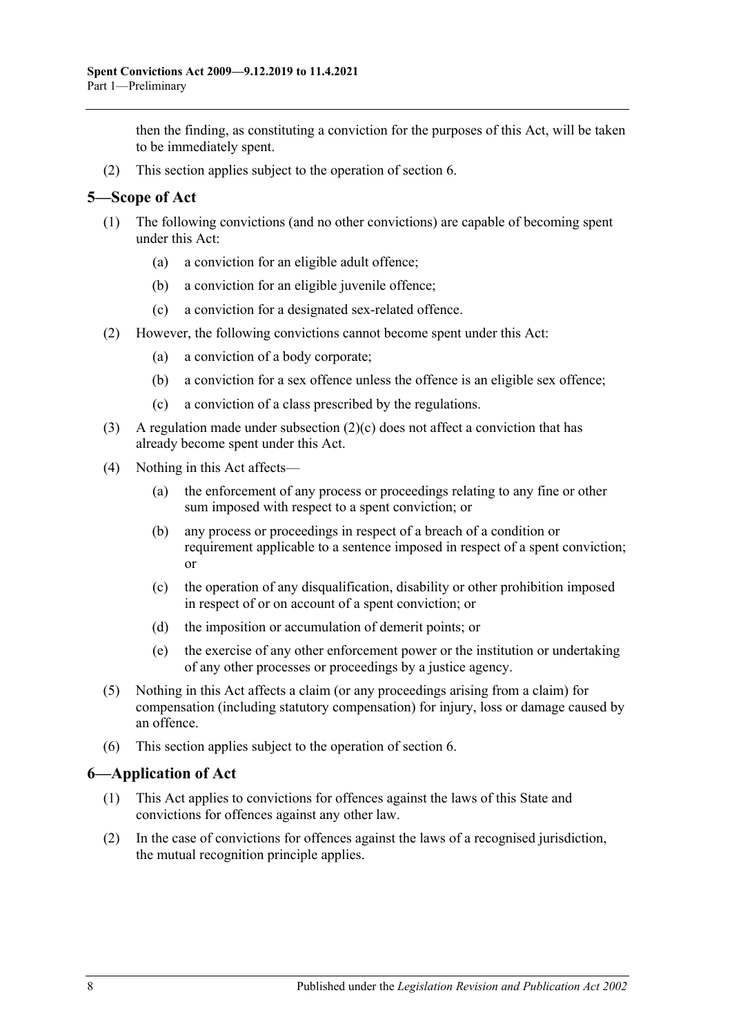then the finding, as constituting a conviction for the purposes of this Act, will be taken to be immediately spent.

(2) This section applies subject to the operation of [section](#page-7-1) 6.

## <span id="page-7-0"></span>**5—Scope of Act**

- (1) The following convictions (and no other convictions) are capable of becoming spent under this Act:
	- (a) a conviction for an eligible adult offence;
	- (b) a conviction for an eligible juvenile offence;
	- (c) a conviction for a designated sex-related offence.
- (2) However, the following convictions cannot become spent under this Act:
	- (a) a conviction of a body corporate;
	- (b) a conviction for a sex offence unless the offence is an eligible sex offence;
	- (c) a conviction of a class prescribed by the regulations.
- <span id="page-7-2"></span>(3) A regulation made under [subsection](#page-7-2) (2)(c) does not affect a conviction that has already become spent under this Act.
- (4) Nothing in this Act affects—
	- (a) the enforcement of any process or proceedings relating to any fine or other sum imposed with respect to a spent conviction; or
	- (b) any process or proceedings in respect of a breach of a condition or requirement applicable to a sentence imposed in respect of a spent conviction; or
	- (c) the operation of any disqualification, disability or other prohibition imposed in respect of or on account of a spent conviction; or
	- (d) the imposition or accumulation of demerit points; or
	- (e) the exercise of any other enforcement power or the institution or undertaking of any other processes or proceedings by a justice agency.
- (5) Nothing in this Act affects a claim (or any proceedings arising from a claim) for compensation (including statutory compensation) for injury, loss or damage caused by an offence.
- (6) This section applies subject to the operation of [section](#page-7-1) 6.

## <span id="page-7-1"></span>**6—Application of Act**

- (1) This Act applies to convictions for offences against the laws of this State and convictions for offences against any other law.
- (2) In the case of convictions for offences against the laws of a recognised jurisdiction, the mutual recognition principle applies.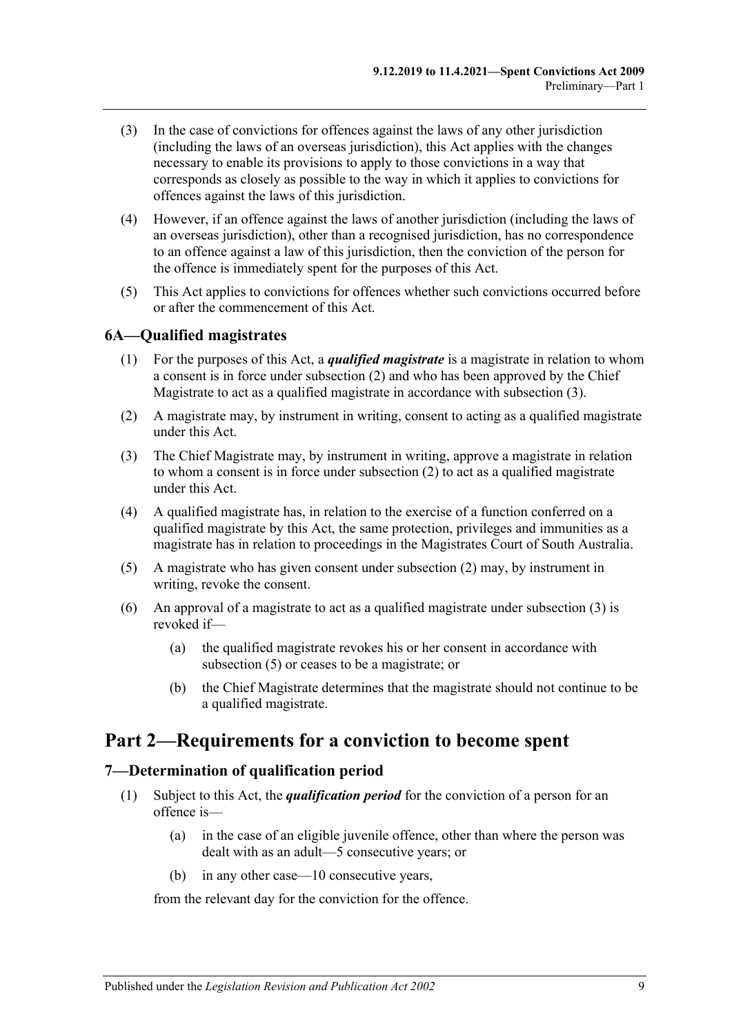- (3) In the case of convictions for offences against the laws of any other jurisdiction (including the laws of an overseas jurisdiction), this Act applies with the changes necessary to enable its provisions to apply to those convictions in a way that corresponds as closely as possible to the way in which it applies to convictions for offences against the laws of this jurisdiction.
- (4) However, if an offence against the laws of another jurisdiction (including the laws of an overseas jurisdiction), other than a recognised jurisdiction, has no correspondence to an offence against a law of this jurisdiction, then the conviction of the person for the offence is immediately spent for the purposes of this Act.
- (5) This Act applies to convictions for offences whether such convictions occurred before or after the commencement of this Act.

## <span id="page-8-0"></span>**6A—Qualified magistrates**

- (1) For the purposes of this Act, a *qualified magistrate* is a magistrate in relation to whom a consent is in force under [subsection](#page-8-3) (2) and who has been approved by the Chief Magistrate to act as a qualified magistrate in accordance with [subsection](#page-8-4) (3).
- <span id="page-8-3"></span>(2) A magistrate may, by instrument in writing, consent to acting as a qualified magistrate under this Act.
- <span id="page-8-4"></span>(3) The Chief Magistrate may, by instrument in writing, approve a magistrate in relation to whom a consent is in force under [subsection](#page-8-3) (2) to act as a qualified magistrate under this Act.
- (4) A qualified magistrate has, in relation to the exercise of a function conferred on a qualified magistrate by this Act, the same protection, privileges and immunities as a magistrate has in relation to proceedings in the Magistrates Court of South Australia.
- <span id="page-8-5"></span>(5) A magistrate who has given consent under [subsection](#page-8-3) (2) may, by instrument in writing, revoke the consent.
- (6) An approval of a magistrate to act as a qualified magistrate under [subsection](#page-8-4) (3) is revoked if—
	- (a) the qualified magistrate revokes his or her consent in accordance with [subsection](#page-8-5) (5) or ceases to be a magistrate; or
	- (b) the Chief Magistrate determines that the magistrate should not continue to be a qualified magistrate.

## <span id="page-8-1"></span>**Part 2—Requirements for a conviction to become spent**

## <span id="page-8-6"></span><span id="page-8-2"></span>**7—Determination of qualification period**

- (1) Subject to this Act, the *qualification period* for the conviction of a person for an offence is—
	- (a) in the case of an eligible juvenile offence, other than where the person was dealt with as an adult—5 consecutive years; or
	- (b) in any other case—10 consecutive years,

from the relevant day for the conviction for the offence.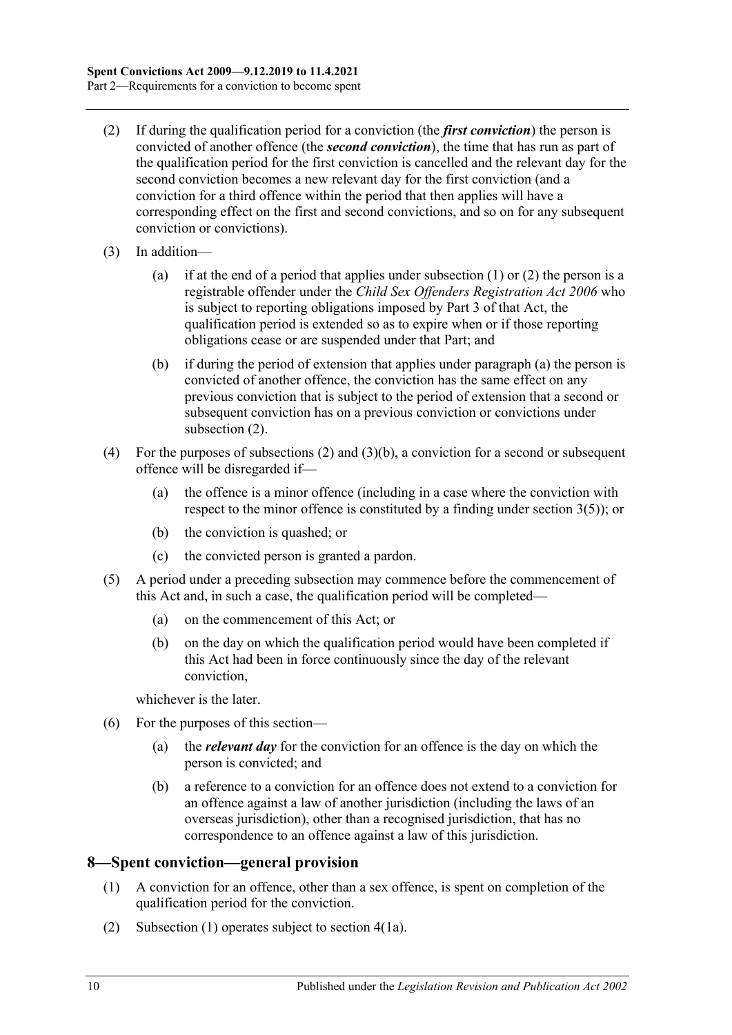- <span id="page-9-1"></span>(2) If during the qualification period for a conviction (the *first conviction*) the person is convicted of another offence (the *second conviction*), the time that has run as part of the qualification period for the first conviction is cancelled and the relevant day for the second conviction becomes a new relevant day for the first conviction (and a conviction for a third offence within the period that then applies will have a corresponding effect on the first and second convictions, and so on for any subsequent conviction or convictions).
- <span id="page-9-2"></span>(3) In addition
	- (a) if at the end of a period that applies under [subsection](#page-8-6)  $(1)$  or  $(2)$  the person is a registrable offender under the *[Child Sex Offenders Registration Act](http://www.legislation.sa.gov.au/index.aspx?action=legref&type=act&legtitle=Child%20Sex%20Offenders%20Registration%20Act%202006) 2006* who is subject to reporting obligations imposed by Part 3 of that Act, the qualification period is extended so as to expire when or if those reporting obligations cease or are suspended under that Part; and
	- (b) if during the period of extension that applies under [paragraph](#page-9-2) (a) the person is convicted of another offence, the conviction has the same effect on any previous conviction that is subject to the period of extension that a second or subsequent conviction has on a previous conviction or convictions under [subsection](#page-9-1) (2).
- <span id="page-9-3"></span>(4) For the purposes of [subsections](#page-9-1) (2) and [\(3\)\(b\),](#page-9-3) a conviction for a second or subsequent offence will be disregarded if—
	- (a) the offence is a minor offence (including in a case where the conviction with respect to the minor offence is constituted by a finding under [section](#page-6-1)  $3(5)$ ; or
	- (b) the conviction is quashed; or
	- (c) the convicted person is granted a pardon.
- (5) A period under a preceding subsection may commence before the commencement of this Act and, in such a case, the qualification period will be completed—
	- (a) on the commencement of this Act; or
	- (b) on the day on which the qualification period would have been completed if this Act had been in force continuously since the day of the relevant conviction,

whichever is the later.

- (6) For the purposes of this section—
	- (a) the *relevant day* for the conviction for an offence is the day on which the person is convicted; and
	- (b) a reference to a conviction for an offence does not extend to a conviction for an offence against a law of another jurisdiction (including the laws of an overseas jurisdiction), other than a recognised jurisdiction, that has no correspondence to an offence against a law of this jurisdiction.

## <span id="page-9-4"></span><span id="page-9-0"></span>**8—Spent conviction—general provision**

- (1) A conviction for an offence, other than a sex offence, is spent on completion of the qualification period for the conviction.
- (2) [Subsection](#page-9-4) (1) operates subject to [section](#page-6-4) 4(1a).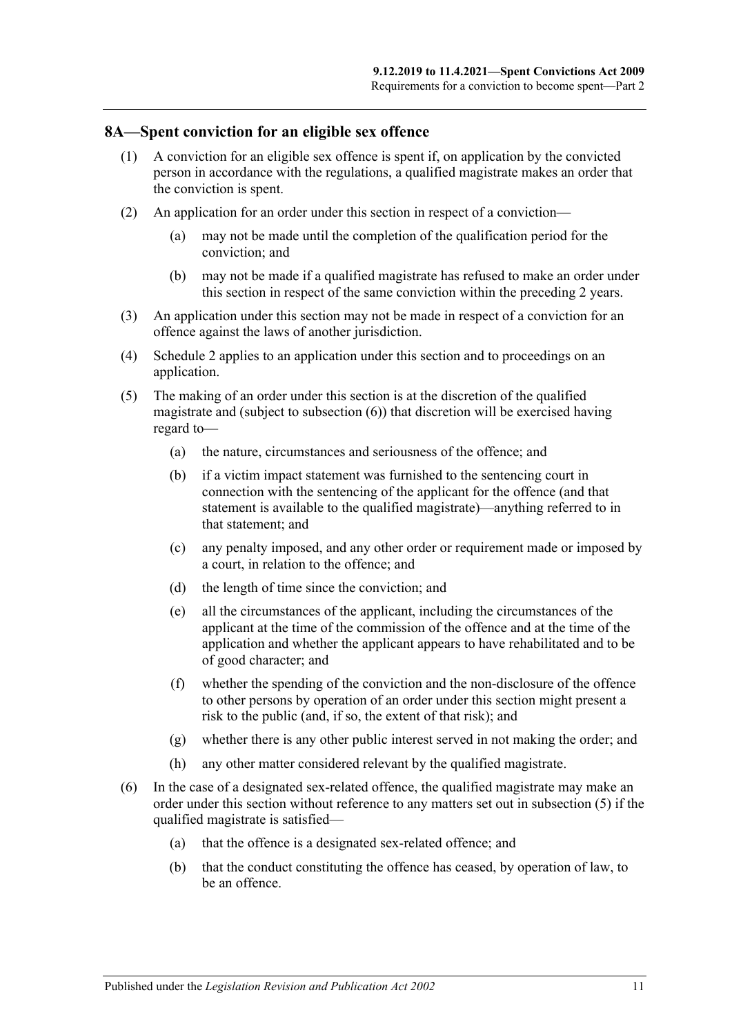#### <span id="page-10-0"></span>**8A—Spent conviction for an eligible sex offence**

- (1) A conviction for an eligible sex offence is spent if, on application by the convicted person in accordance with the regulations, a qualified magistrate makes an order that the conviction is spent.
- (2) An application for an order under this section in respect of a conviction—
	- (a) may not be made until the completion of the qualification period for the conviction; and
	- (b) may not be made if a qualified magistrate has refused to make an order under this section in respect of the same conviction within the preceding 2 years.
- (3) An application under this section may not be made in respect of a conviction for an offence against the laws of another jurisdiction.
- (4) [Schedule 2](#page-19-4) applies to an application under this section and to proceedings on an application.
- <span id="page-10-1"></span>(5) The making of an order under this section is at the discretion of the qualified magistrate and (subject to subsection (6)) that discretion will be exercised having regard to—
	- (a) the nature, circumstances and seriousness of the offence; and
	- (b) if a victim impact statement was furnished to the sentencing court in connection with the sentencing of the applicant for the offence (and that statement is available to the qualified magistrate)—anything referred to in that statement; and
	- (c) any penalty imposed, and any other order or requirement made or imposed by a court, in relation to the offence; and
	- (d) the length of time since the conviction; and
	- (e) all the circumstances of the applicant, including the circumstances of the applicant at the time of the commission of the offence and at the time of the application and whether the applicant appears to have rehabilitated and to be of good character; and
	- (f) whether the spending of the conviction and the non-disclosure of the offence to other persons by operation of an order under this section might present a risk to the public (and, if so, the extent of that risk); and
	- (g) whether there is any other public interest served in not making the order; and
	- (h) any other matter considered relevant by the qualified magistrate.
- (6) In the case of a designated sex-related offence, the qualified magistrate may make an order under this section without reference to any matters set out in [subsection](#page-10-1) (5) if the qualified magistrate is satisfied—
	- (a) that the offence is a designated sex-related offence; and
	- (b) that the conduct constituting the offence has ceased, by operation of law, to be an offence.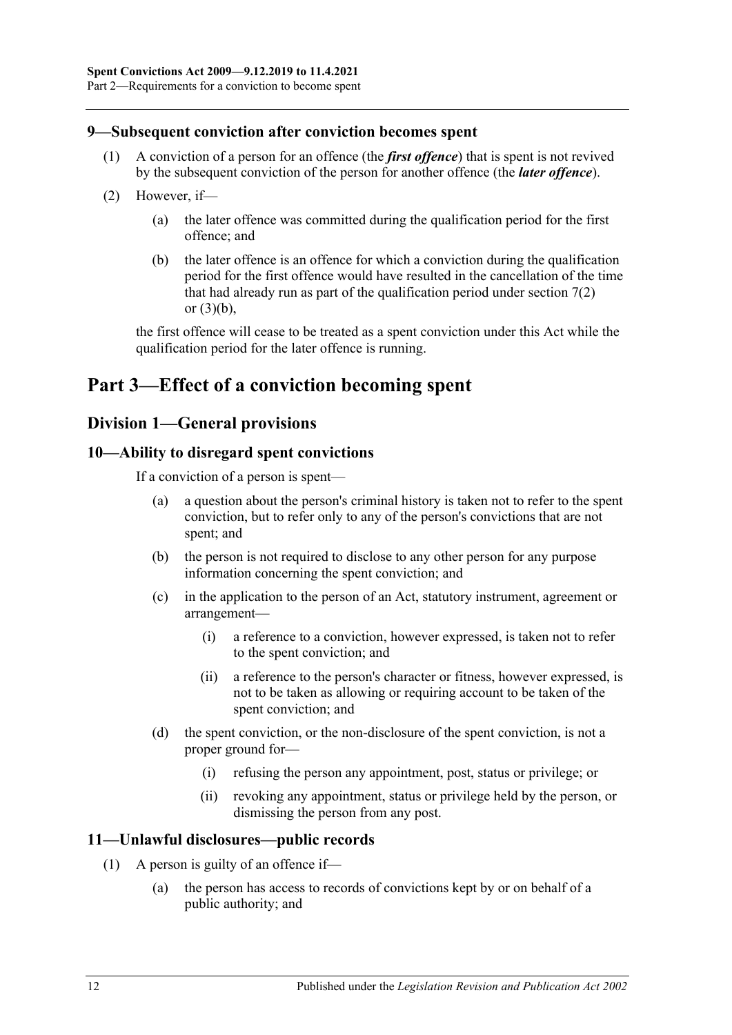## <span id="page-11-0"></span>**9—Subsequent conviction after conviction becomes spent**

- (1) A conviction of a person for an offence (the *first offence*) that is spent is not revived by the subsequent conviction of the person for another offence (the *later offence*).
- (2) However, if—
	- (a) the later offence was committed during the qualification period for the first offence; and
	- (b) the later offence is an offence for which a conviction during the qualification period for the first offence would have resulted in the cancellation of the time that had already run as part of the qualification period under [section](#page-9-1) 7(2) or [\(3\)\(b\),](#page-9-3)

the first offence will cease to be treated as a spent conviction under this Act while the qualification period for the later offence is running.

## <span id="page-11-2"></span><span id="page-11-1"></span>**Part 3—Effect of a conviction becoming spent**

## **Division 1—General provisions**

#### <span id="page-11-3"></span>**10—Ability to disregard spent convictions**

If a conviction of a person is spent—

- (a) a question about the person's criminal history is taken not to refer to the spent conviction, but to refer only to any of the person's convictions that are not spent: and
- (b) the person is not required to disclose to any other person for any purpose information concerning the spent conviction; and
- (c) in the application to the person of an Act, statutory instrument, agreement or arrangement—
	- (i) a reference to a conviction, however expressed, is taken not to refer to the spent conviction; and
	- (ii) a reference to the person's character or fitness, however expressed, is not to be taken as allowing or requiring account to be taken of the spent conviction; and
- (d) the spent conviction, or the non-disclosure of the spent conviction, is not a proper ground for—
	- (i) refusing the person any appointment, post, status or privilege; or
	- (ii) revoking any appointment, status or privilege held by the person, or dismissing the person from any post.

#### <span id="page-11-5"></span><span id="page-11-4"></span>**11—Unlawful disclosures—public records**

- (1) A person is guilty of an offence if—
	- (a) the person has access to records of convictions kept by or on behalf of a public authority; and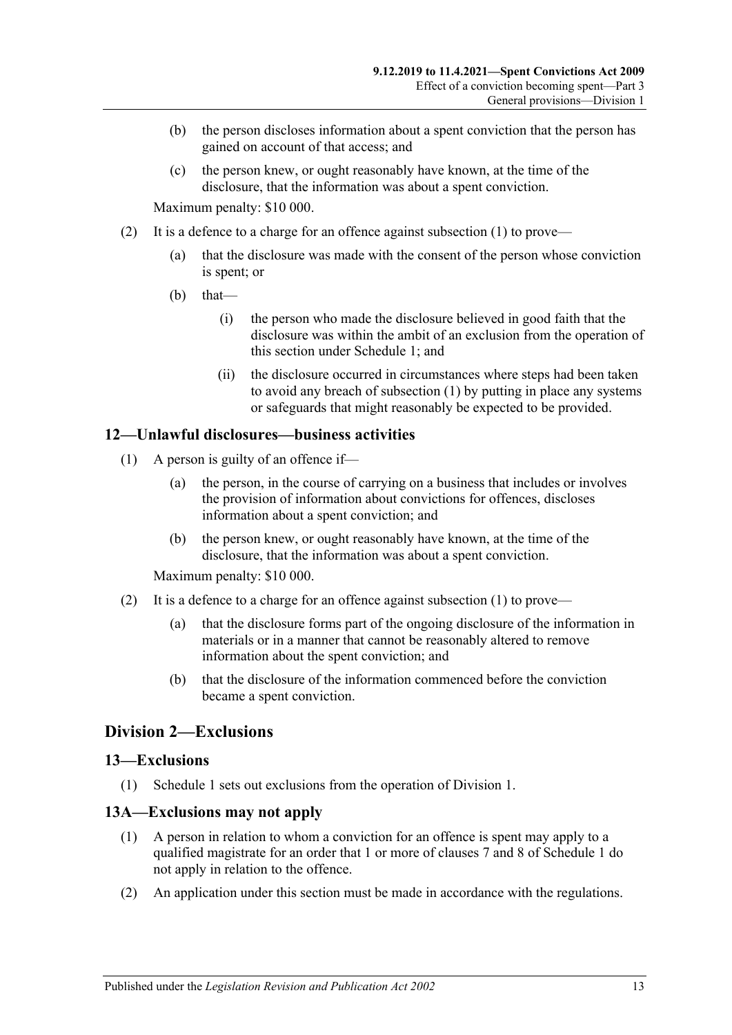- (b) the person discloses information about a spent conviction that the person has gained on account of that access; and
- (c) the person knew, or ought reasonably have known, at the time of the disclosure, that the information was about a spent conviction.

Maximum penalty: \$10 000.

- (2) It is a defence to a charge for an offence against [subsection](#page-11-5) (1) to prove—
	- (a) that the disclosure was made with the consent of the person whose conviction is spent; or
	- (b) that—
		- (i) the person who made the disclosure believed in good faith that the disclosure was within the ambit of an exclusion from the operation of this section under [Schedule 1;](#page-14-2) and
		- (ii) the disclosure occurred in circumstances where steps had been taken to avoid any breach of [subsection](#page-11-5) (1) by putting in place any systems or safeguards that might reasonably be expected to be provided.

## <span id="page-12-4"></span><span id="page-12-0"></span>**12—Unlawful disclosures—business activities**

- (1) A person is guilty of an offence if—
	- (a) the person, in the course of carrying on a business that includes or involves the provision of information about convictions for offences, discloses information about a spent conviction; and
	- (b) the person knew, or ought reasonably have known, at the time of the disclosure, that the information was about a spent conviction.

Maximum penalty: \$10 000.

- (2) It is a defence to a charge for an offence against [subsection](#page-12-4) (1) to prove—
	- (a) that the disclosure forms part of the ongoing disclosure of the information in materials or in a manner that cannot be reasonably altered to remove information about the spent conviction; and
	- (b) that the disclosure of the information commenced before the conviction became a spent conviction.

## <span id="page-12-1"></span>**Division 2—Exclusions**

#### <span id="page-12-2"></span>**13—Exclusions**

(1) [Schedule 1](#page-14-2) sets out exclusions from the operation of [Division 1.](#page-11-2)

#### <span id="page-12-3"></span>**13A—Exclusions may not apply**

- (1) A person in relation to whom a conviction for an offence is spent may apply to a qualified magistrate for an order that 1 or more of clauses [7](#page-16-2) and [8](#page-17-0) of [Schedule 1](#page-14-2) do not apply in relation to the offence.
- (2) An application under this section must be made in accordance with the regulations.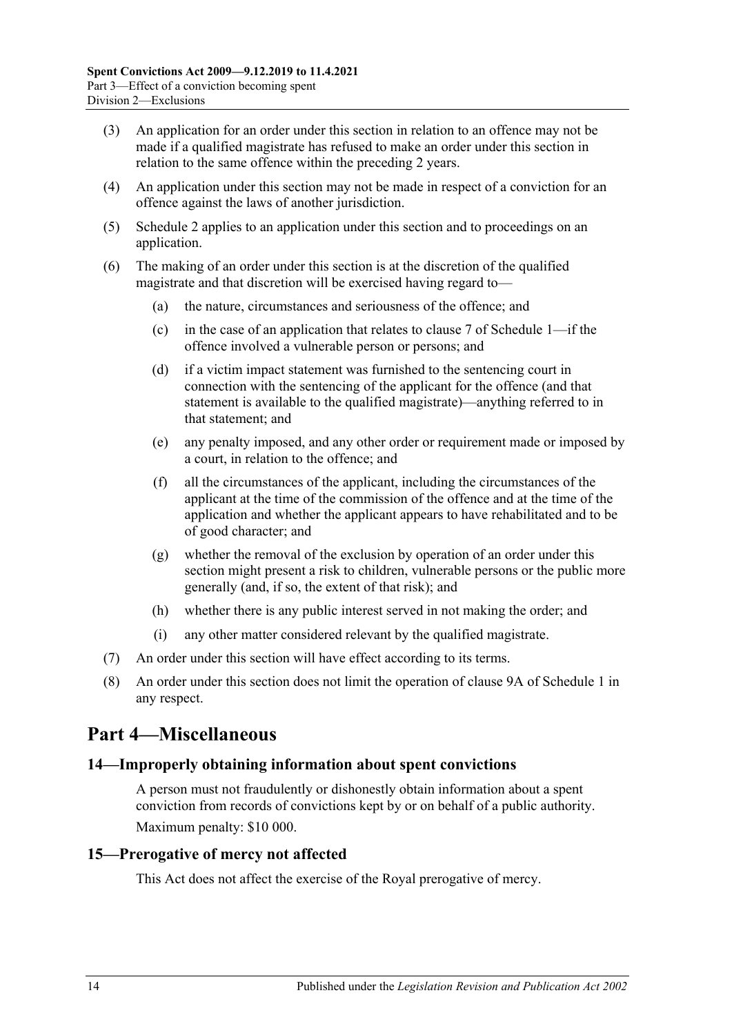- (3) An application for an order under this section in relation to an offence may not be made if a qualified magistrate has refused to make an order under this section in relation to the same offence within the preceding 2 years.
- (4) An application under this section may not be made in respect of a conviction for an offence against the laws of another jurisdiction.
- (5) [Schedule 2](#page-19-4) applies to an application under this section and to proceedings on an application.
- (6) The making of an order under this section is at the discretion of the qualified magistrate and that discretion will be exercised having regard to—
	- (a) the nature, circumstances and seriousness of the offence; and
	- (c) in the case of an application that relates to [clause](#page-16-2) 7 of [Schedule 1—](#page-14-2)if the offence involved a vulnerable person or persons; and
	- (d) if a victim impact statement was furnished to the sentencing court in connection with the sentencing of the applicant for the offence (and that statement is available to the qualified magistrate)—anything referred to in that statement; and
	- (e) any penalty imposed, and any other order or requirement made or imposed by a court, in relation to the offence; and
	- (f) all the circumstances of the applicant, including the circumstances of the applicant at the time of the commission of the offence and at the time of the application and whether the applicant appears to have rehabilitated and to be of good character; and
	- (g) whether the removal of the exclusion by operation of an order under this section might present a risk to children, vulnerable persons or the public more generally (and, if so, the extent of that risk); and
	- (h) whether there is any public interest served in not making the order; and
	- (i) any other matter considered relevant by the qualified magistrate.
- (7) An order under this section will have effect according to its terms.
- (8) An order under this section does not limit the operation of [clause](#page-18-0) 9A of [Schedule 1](#page-14-2) in any respect.

## <span id="page-13-0"></span>**Part 4—Miscellaneous**

## <span id="page-13-1"></span>**14—Improperly obtaining information about spent convictions**

A person must not fraudulently or dishonestly obtain information about a spent conviction from records of convictions kept by or on behalf of a public authority. Maximum penalty: \$10 000.

#### <span id="page-13-2"></span>**15—Prerogative of mercy not affected**

This Act does not affect the exercise of the Royal prerogative of mercy.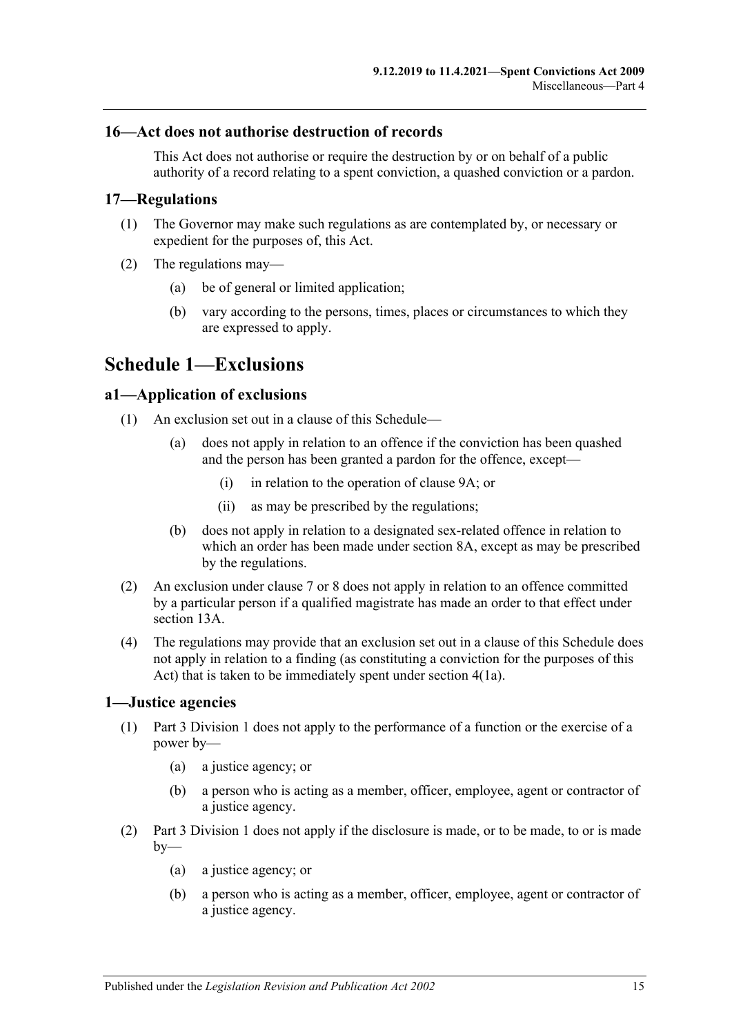### <span id="page-14-0"></span>**16—Act does not authorise destruction of records**

This Act does not authorise or require the destruction by or on behalf of a public authority of a record relating to a spent conviction, a quashed conviction or a pardon.

#### <span id="page-14-1"></span>**17—Regulations**

- (1) The Governor may make such regulations as are contemplated by, or necessary or expedient for the purposes of, this Act.
- (2) The regulations may—
	- (a) be of general or limited application;
	- (b) vary according to the persons, times, places or circumstances to which they are expressed to apply.

## <span id="page-14-2"></span>**Schedule 1—Exclusions**

#### <span id="page-14-3"></span>**a1—Application of exclusions**

- (1) An exclusion set out in a clause of this Schedule—
	- (a) does not apply in relation to an offence if the conviction has been quashed and the person has been granted a pardon for the offence, except—
		- (i) in relation to the operation of [clause](#page-18-0) 9A; or
		- (ii) as may be prescribed by the regulations;
	- (b) does not apply in relation to a designated sex-related offence in relation to which an order has been made under [section](#page-10-0) 8A, except as may be prescribed by the regulations.
- (2) An exclusion under clause 7 or 8 does not apply in relation to an offence committed by a particular person if a qualified magistrate has made an order to that effect under [section](#page-12-3) 13A.
- (4) The regulations may provide that an exclusion set out in a clause of this Schedule does not apply in relation to a finding (as constituting a conviction for the purposes of this Act) that is taken to be immediately spent under section 4(1a).

#### <span id="page-14-4"></span>**1—Justice agencies**

- (1) [Part 3 Division 1](#page-11-2) does not apply to the performance of a function or the exercise of a power by—
	- (a) a justice agency; or
	- (b) a person who is acting as a member, officer, employee, agent or contractor of a justice agency.
- (2) [Part 3 Division 1](#page-11-2) does not apply if the disclosure is made, or to be made, to or is made  $by-$ 
	- (a) a justice agency; or
	- (b) a person who is acting as a member, officer, employee, agent or contractor of a justice agency.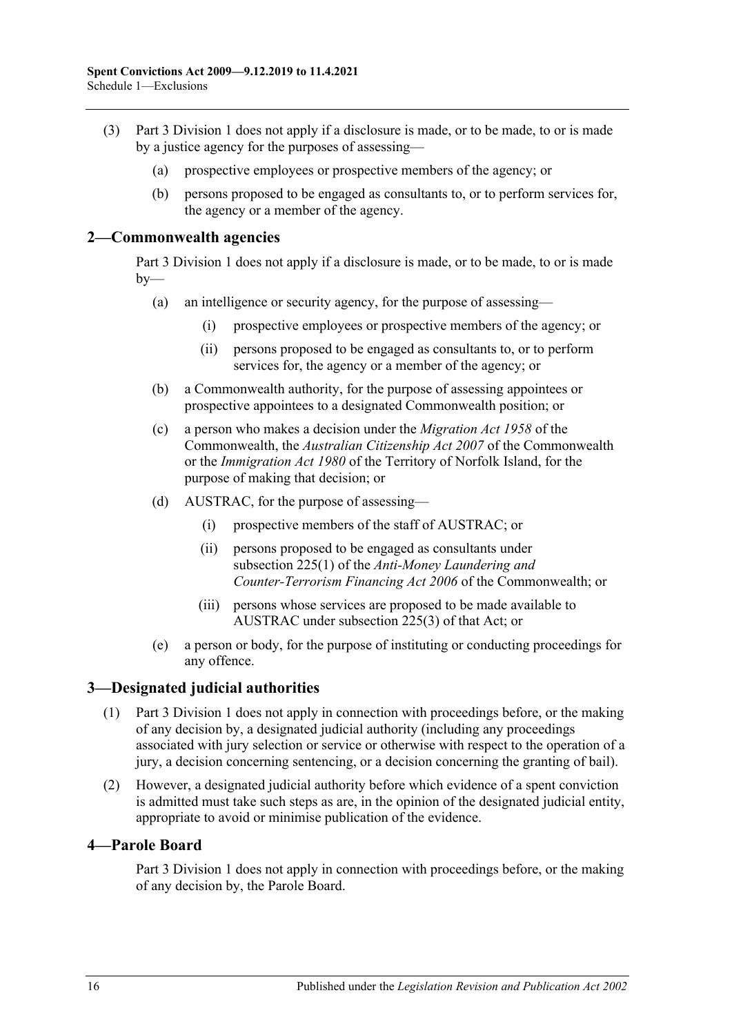- (3) [Part 3 Division 1](#page-11-2) does not apply if a disclosure is made, or to be made, to or is made by a justice agency for the purposes of assessing—
	- (a) prospective employees or prospective members of the agency; or
	- (b) persons proposed to be engaged as consultants to, or to perform services for, the agency or a member of the agency.

#### <span id="page-15-0"></span>**2—Commonwealth agencies**

[Part 3 Division 1](#page-11-2) does not apply if a disclosure is made, or to be made, to or is made  $by-$ 

- (a) an intelligence or security agency, for the purpose of assessing—
	- (i) prospective employees or prospective members of the agency; or
	- (ii) persons proposed to be engaged as consultants to, or to perform services for, the agency or a member of the agency; or
- (b) a Commonwealth authority, for the purpose of assessing appointees or prospective appointees to a designated Commonwealth position; or
- (c) a person who makes a decision under the *Migration Act 1958* of the Commonwealth, the *Australian Citizenship Act 2007* of the Commonwealth or the *Immigration Act 1980* of the Territory of Norfolk Island, for the purpose of making that decision; or
- (d) AUSTRAC, for the purpose of assessing—
	- (i) prospective members of the staff of AUSTRAC; or
	- (ii) persons proposed to be engaged as consultants under subsection 225(1) of the *Anti-Money Laundering and Counter-Terrorism Financing Act 2006* of the Commonwealth; or
	- (iii) persons whose services are proposed to be made available to AUSTRAC under subsection 225(3) of that Act; or
- (e) a person or body, for the purpose of instituting or conducting proceedings for any offence.

## <span id="page-15-1"></span>**3—Designated judicial authorities**

- (1) [Part 3 Division 1](#page-11-2) does not apply in connection with proceedings before, or the making of any decision by, a designated judicial authority (including any proceedings associated with jury selection or service or otherwise with respect to the operation of a jury, a decision concerning sentencing, or a decision concerning the granting of bail).
- (2) However, a designated judicial authority before which evidence of a spent conviction is admitted must take such steps as are, in the opinion of the designated judicial entity, appropriate to avoid or minimise publication of the evidence.

#### <span id="page-15-2"></span>**4—Parole Board**

[Part 3 Division 1](#page-11-2) does not apply in connection with proceedings before, or the making of any decision by, the Parole Board.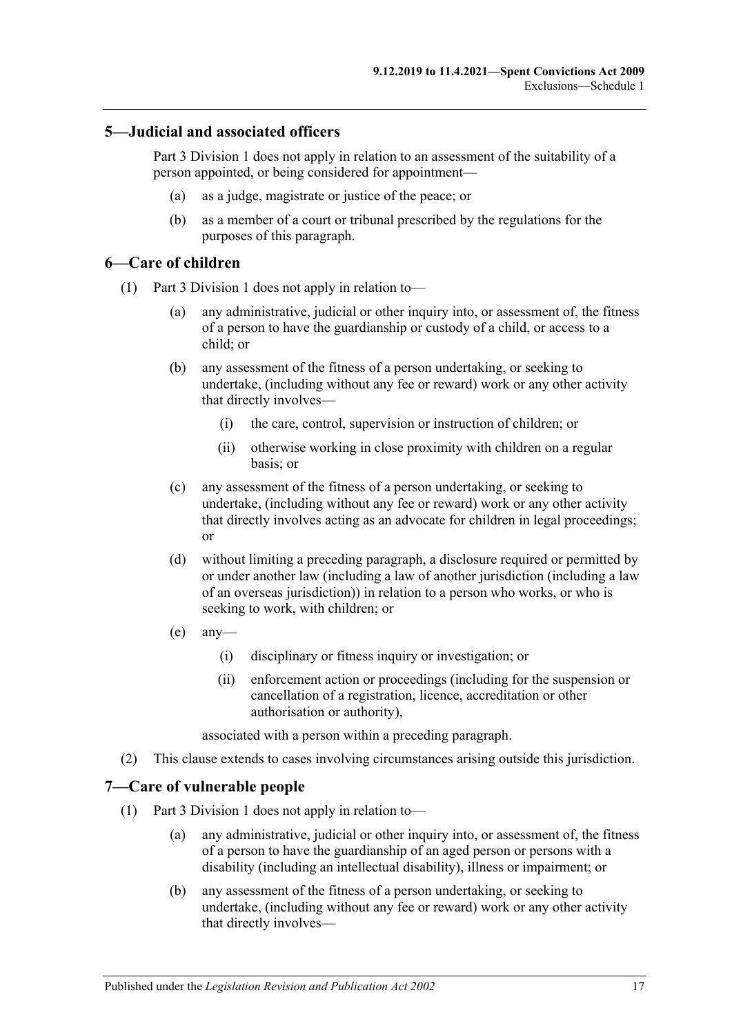### <span id="page-16-0"></span>**5—Judicial and associated officers**

[Part 3 Division 1](#page-11-2) does not apply in relation to an assessment of the suitability of a person appointed, or being considered for appointment—

- (a) as a judge, magistrate or justice of the peace; or
- (b) as a member of a court or tribunal prescribed by the regulations for the purposes of this paragraph.

### <span id="page-16-1"></span>**6—Care of children**

- (1) [Part 3 Division 1](#page-11-2) does not apply in relation to—
	- (a) any administrative, judicial or other inquiry into, or assessment of, the fitness of a person to have the guardianship or custody of a child, or access to a child; or
	- (b) any assessment of the fitness of a person undertaking, or seeking to undertake, (including without any fee or reward) work or any other activity that directly involves—
		- (i) the care, control, supervision or instruction of children; or
		- (ii) otherwise working in close proximity with children on a regular basis; or
	- (c) any assessment of the fitness of a person undertaking, or seeking to undertake, (including without any fee or reward) work or any other activity that directly involves acting as an advocate for children in legal proceedings; or
	- (d) without limiting a preceding paragraph, a disclosure required or permitted by or under another law (including a law of another jurisdiction (including a law of an overseas jurisdiction)) in relation to a person who works, or who is seeking to work, with children; or
	- $(e)$  any-
		- (i) disciplinary or fitness inquiry or investigation; or
		- (ii) enforcement action or proceedings (including for the suspension or cancellation of a registration, licence, accreditation or other authorisation or authority),

associated with a person within a preceding paragraph.

(2) This clause extends to cases involving circumstances arising outside this jurisdiction.

## <span id="page-16-2"></span>**7—Care of vulnerable people**

- (1) [Part 3 Division 1](#page-11-2) does not apply in relation to—
	- (a) any administrative, judicial or other inquiry into, or assessment of, the fitness of a person to have the guardianship of an aged person or persons with a disability (including an intellectual disability), illness or impairment; or
	- (b) any assessment of the fitness of a person undertaking, or seeking to undertake, (including without any fee or reward) work or any other activity that directly involves—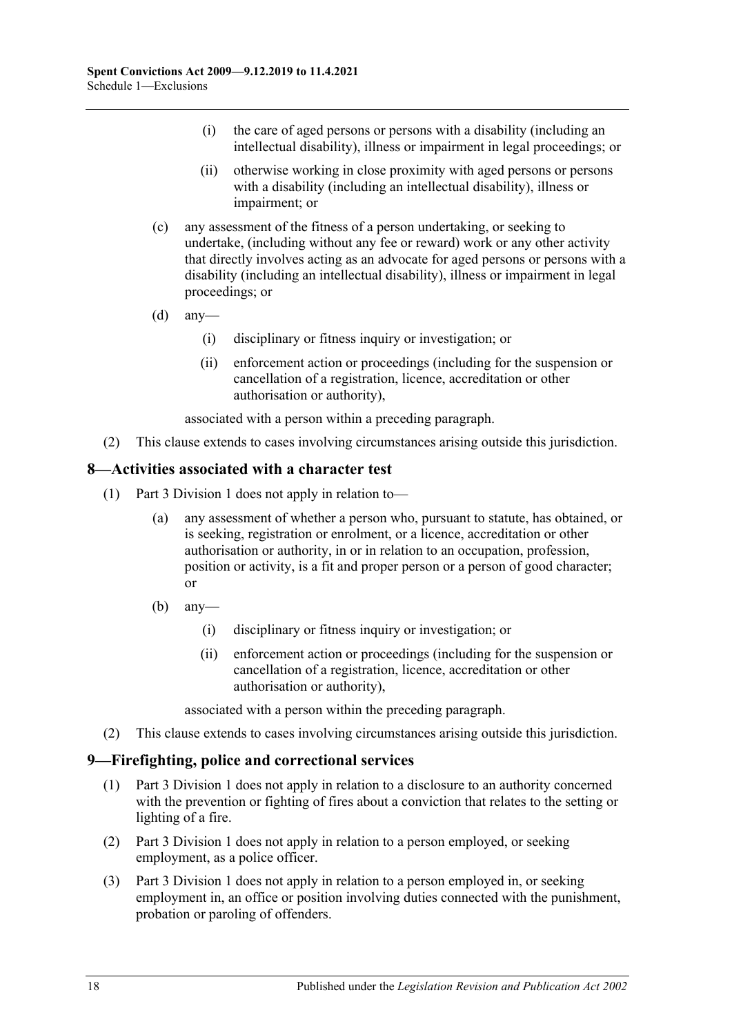- (i) the care of aged persons or persons with a disability (including an intellectual disability), illness or impairment in legal proceedings; or
- (ii) otherwise working in close proximity with aged persons or persons with a disability (including an intellectual disability), illness or impairment; or
- (c) any assessment of the fitness of a person undertaking, or seeking to undertake, (including without any fee or reward) work or any other activity that directly involves acting as an advocate for aged persons or persons with a disability (including an intellectual disability), illness or impairment in legal proceedings; or
- $(d)$  any—
	- (i) disciplinary or fitness inquiry or investigation; or
	- (ii) enforcement action or proceedings (including for the suspension or cancellation of a registration, licence, accreditation or other authorisation or authority),

associated with a person within a preceding paragraph.

(2) This clause extends to cases involving circumstances arising outside this jurisdiction.

## <span id="page-17-0"></span>**8—Activities associated with a character test**

- (1) [Part 3 Division 1](#page-11-2) does not apply in relation to—
	- (a) any assessment of whether a person who, pursuant to statute, has obtained, or is seeking, registration or enrolment, or a licence, accreditation or other authorisation or authority, in or in relation to an occupation, profession, position or activity, is a fit and proper person or a person of good character; or
	- $(b)$  any-
		- (i) disciplinary or fitness inquiry or investigation; or
		- (ii) enforcement action or proceedings (including for the suspension or cancellation of a registration, licence, accreditation or other authorisation or authority),

associated with a person within the preceding paragraph.

(2) This clause extends to cases involving circumstances arising outside this jurisdiction.

## <span id="page-17-1"></span>**9—Firefighting, police and correctional services**

- (1) [Part 3 Division 1](#page-11-2) does not apply in relation to a disclosure to an authority concerned with the prevention or fighting of fires about a conviction that relates to the setting or lighting of a fire.
- (2) [Part 3 Division 1](#page-11-2) does not apply in relation to a person employed, or seeking employment, as a police officer.
- (3) [Part 3 Division 1](#page-11-2) does not apply in relation to a person employed in, or seeking employment in, an office or position involving duties connected with the punishment, probation or paroling of offenders.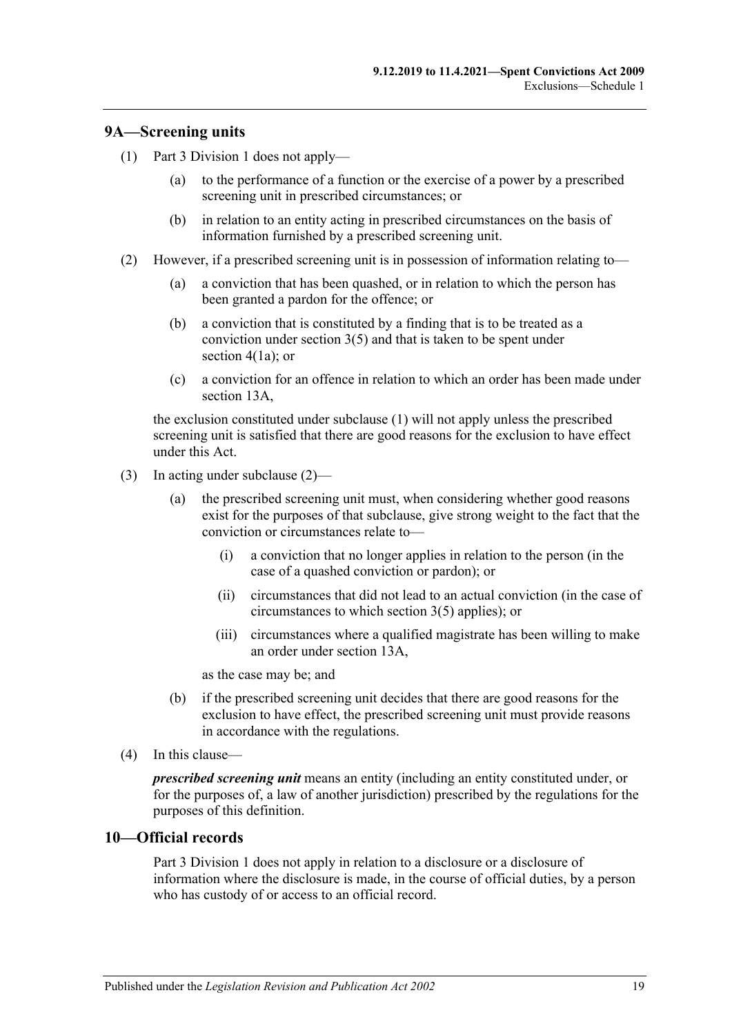#### <span id="page-18-2"></span><span id="page-18-0"></span>**9A—Screening units**

- (1) [Part 3 Division 1](#page-11-2) does not apply—
	- (a) to the performance of a function or the exercise of a power by a prescribed screening unit in prescribed circumstances; or
	- (b) in relation to an entity acting in prescribed circumstances on the basis of information furnished by a prescribed screening unit.
- <span id="page-18-3"></span>(2) However, if a prescribed screening unit is in possession of information relating to—
	- (a) a conviction that has been quashed, or in relation to which the person has been granted a pardon for the offence; or
	- (b) a conviction that is constituted by a finding that is to be treated as a conviction under [section](#page-6-1) 3(5) and that is taken to be spent under [section](#page-6-4) 4(1a); or
	- (c) a conviction for an offence in relation to which an order has been made under [section](#page-12-3) 13A,

the exclusion constituted under [subclause](#page-18-2) (1) will not apply unless the prescribed screening unit is satisfied that there are good reasons for the exclusion to have effect under this Act.

- (3) In acting under [subclause](#page-18-3) (2)—
	- (a) the prescribed screening unit must, when considering whether good reasons exist for the purposes of that subclause, give strong weight to the fact that the conviction or circumstances relate to—
		- (i) a conviction that no longer applies in relation to the person (in the case of a quashed conviction or pardon); or
		- (ii) circumstances that did not lead to an actual conviction (in the case of circumstances to which [section](#page-6-1) 3(5) applies); or
		- (iii) circumstances where a qualified magistrate has been willing to make an order under [section](#page-12-3) 13A,

as the case may be; and

- (b) if the prescribed screening unit decides that there are good reasons for the exclusion to have effect, the prescribed screening unit must provide reasons in accordance with the regulations.
- (4) In this clause—

*prescribed screening unit* means an entity (including an entity constituted under, or for the purposes of, a law of another jurisdiction) prescribed by the regulations for the purposes of this definition.

## <span id="page-18-1"></span>**10—Official records**

[Part 3 Division 1](#page-11-2) does not apply in relation to a disclosure or a disclosure of information where the disclosure is made, in the course of official duties, by a person who has custody of or access to an official record.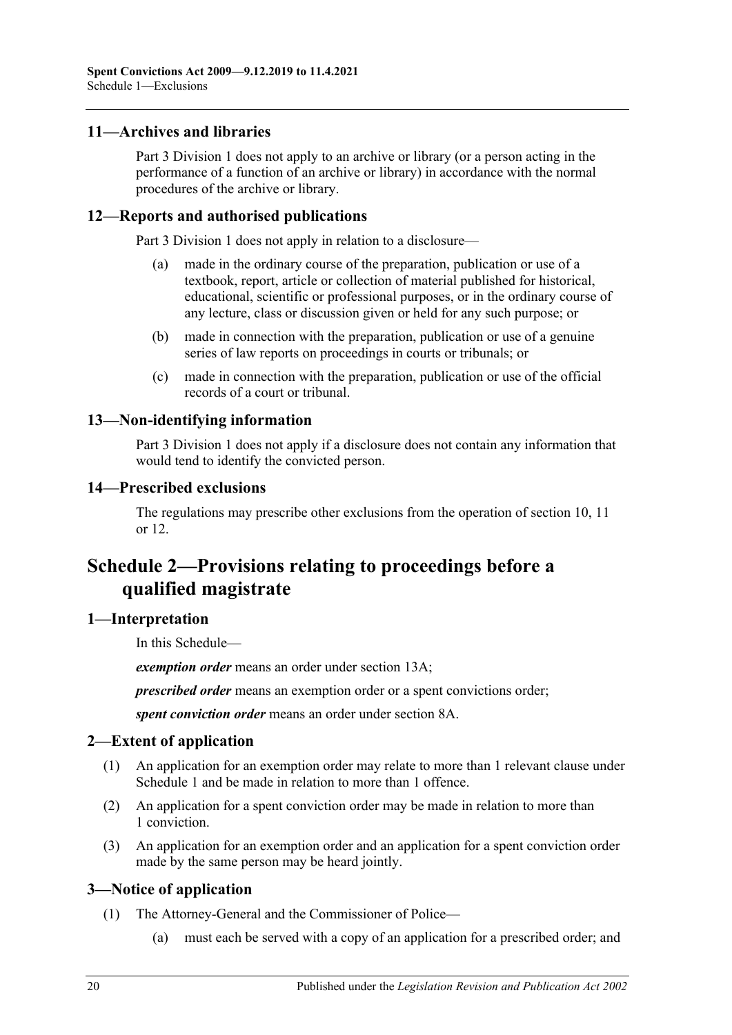## <span id="page-19-0"></span>**11—Archives and libraries**

[Part 3 Division 1](#page-11-2) does not apply to an archive or library (or a person acting in the performance of a function of an archive or library) in accordance with the normal procedures of the archive or library.

## <span id="page-19-1"></span>**12—Reports and authorised publications**

[Part 3 Division 1](#page-11-2) does not apply in relation to a disclosure—

- (a) made in the ordinary course of the preparation, publication or use of a textbook, report, article or collection of material published for historical, educational, scientific or professional purposes, or in the ordinary course of any lecture, class or discussion given or held for any such purpose; or
- (b) made in connection with the preparation, publication or use of a genuine series of law reports on proceedings in courts or tribunals; or
- (c) made in connection with the preparation, publication or use of the official records of a court or tribunal.

## <span id="page-19-2"></span>**13—Non-identifying information**

[Part 3 Division 1](#page-11-2) does not apply if a disclosure does not contain any information that would tend to identify the convicted person.

## <span id="page-19-3"></span>**14—Prescribed exclusions**

The regulations may prescribe other exclusions from the operation of [section](#page-11-3) 10, [11](#page-11-4) or [12.](#page-19-1)

## <span id="page-19-4"></span>**Schedule 2—Provisions relating to proceedings before a qualified magistrate**

## <span id="page-19-5"></span>**1—Interpretation**

In this Schedule—

*exemption order* means an order under [section](#page-12-3) 13A;

*prescribed order* means an exemption order or a spent convictions order;

*spent conviction order* means an order under [section](#page-10-0) 8A.

## <span id="page-19-6"></span>**2—Extent of application**

- (1) An application for an exemption order may relate to more than 1 relevant clause under [Schedule 1](#page-14-2) and be made in relation to more than 1 offence.
- (2) An application for a spent conviction order may be made in relation to more than 1 conviction.
- (3) An application for an exemption order and an application for a spent conviction order made by the same person may be heard jointly.

## <span id="page-19-7"></span>**3—Notice of application**

- (1) The Attorney-General and the Commissioner of Police—
	- (a) must each be served with a copy of an application for a prescribed order; and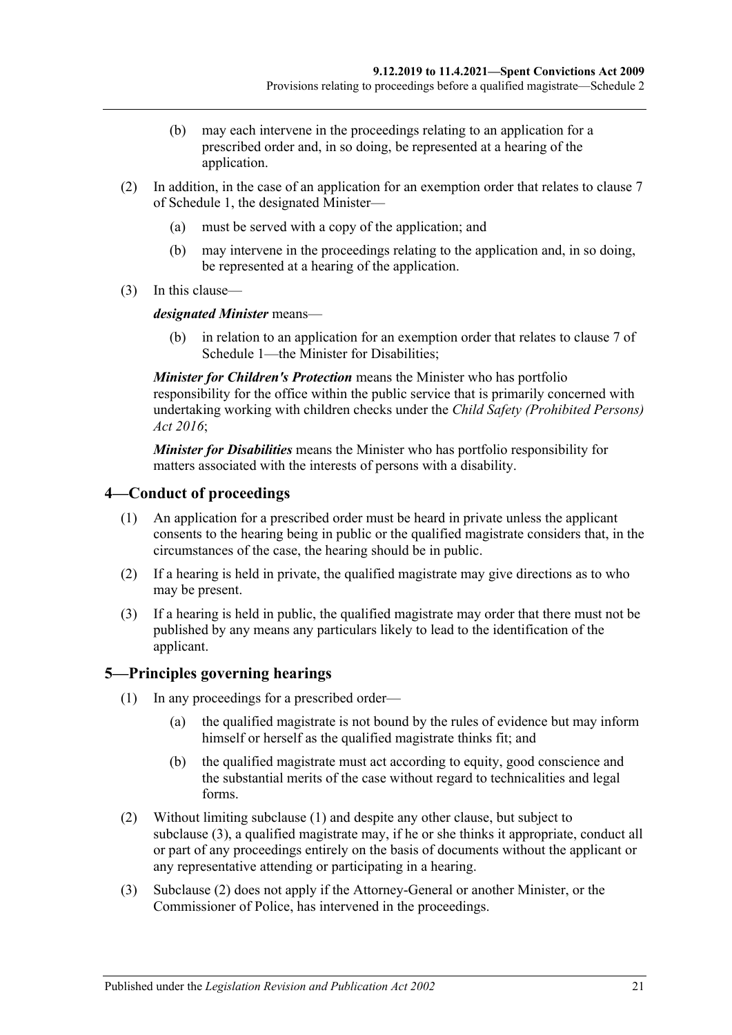- (b) may each intervene in the proceedings relating to an application for a prescribed order and, in so doing, be represented at a hearing of the application.
- (2) In addition, in the case of an application for an exemption order that relates to clause [7](#page-16-2) of [Schedule 1,](#page-14-2) the designated Minister—
	- (a) must be served with a copy of the application; and
	- (b) may intervene in the proceedings relating to the application and, in so doing, be represented at a hearing of the application.
- (3) In this clause—

*designated Minister* means—

(b) in relation to an application for an exemption order that relates to [clause](#page-16-2) 7 of [Schedule 1—](#page-14-2)the Minister for Disabilities;

*Minister for Children's Protection* means the Minister who has portfolio responsibility for the office within the public service that is primarily concerned with undertaking working with children checks under the *[Child Safety \(Prohibited Persons\)](http://www.legislation.sa.gov.au/index.aspx?action=legref&type=act&legtitle=Child%20Safety%20(Prohibited%20Persons)%20Act%202016)  Act [2016](http://www.legislation.sa.gov.au/index.aspx?action=legref&type=act&legtitle=Child%20Safety%20(Prohibited%20Persons)%20Act%202016)*;

*Minister for Disabilities* means the Minister who has portfolio responsibility for matters associated with the interests of persons with a disability.

#### <span id="page-20-0"></span>**4—Conduct of proceedings**

- (1) An application for a prescribed order must be heard in private unless the applicant consents to the hearing being in public or the qualified magistrate considers that, in the circumstances of the case, the hearing should be in public.
- (2) If a hearing is held in private, the qualified magistrate may give directions as to who may be present.
- (3) If a hearing is held in public, the qualified magistrate may order that there must not be published by any means any particulars likely to lead to the identification of the applicant.

#### <span id="page-20-2"></span><span id="page-20-1"></span>**5—Principles governing hearings**

- (1) In any proceedings for a prescribed order—
	- (a) the qualified magistrate is not bound by the rules of evidence but may inform himself or herself as the qualified magistrate thinks fit; and
	- (b) the qualified magistrate must act according to equity, good conscience and the substantial merits of the case without regard to technicalities and legal forms.
- <span id="page-20-4"></span>(2) Without limiting [subclause](#page-20-2) (1) and despite any other clause, but subject to [subclause](#page-20-3) (3), a qualified magistrate may, if he or she thinks it appropriate, conduct all or part of any proceedings entirely on the basis of documents without the applicant or any representative attending or participating in a hearing.
- <span id="page-20-3"></span>(3) [Subclause](#page-20-4) (2) does not apply if the Attorney-General or another Minister, or the Commissioner of Police, has intervened in the proceedings.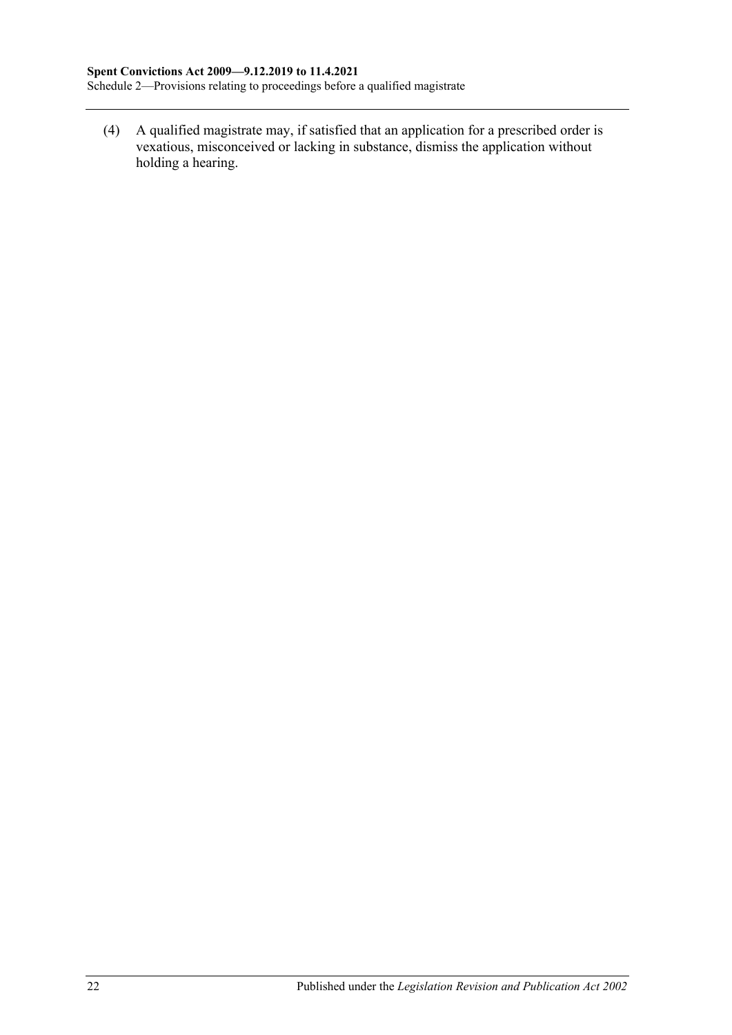(4) A qualified magistrate may, if satisfied that an application for a prescribed order is vexatious, misconceived or lacking in substance, dismiss the application without holding a hearing.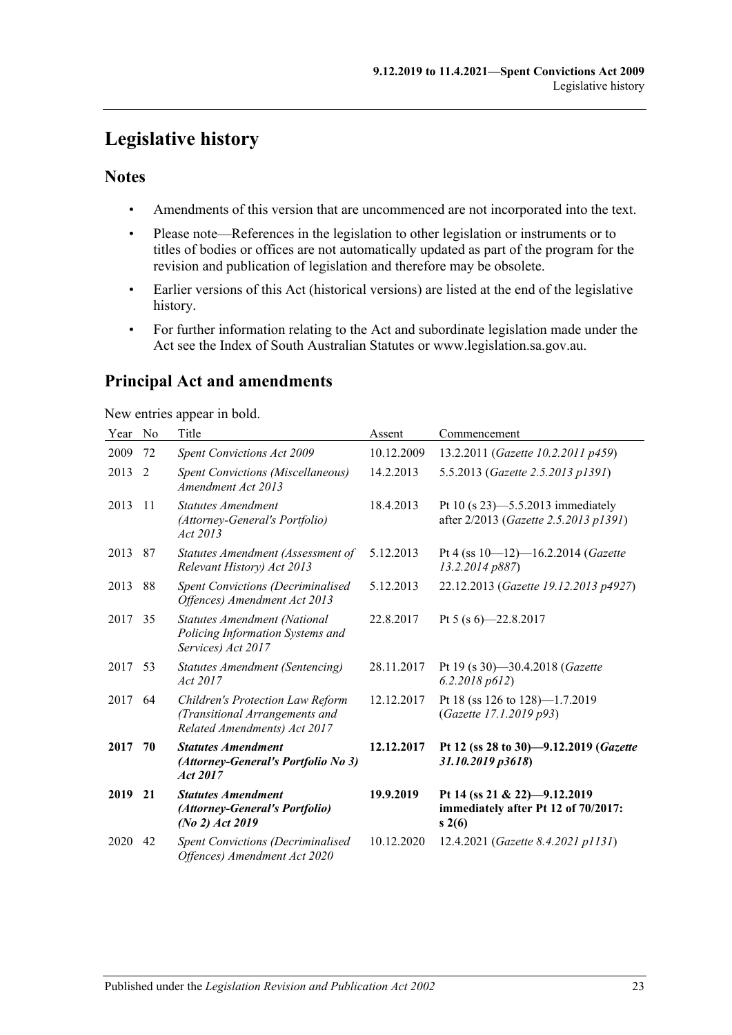## <span id="page-22-0"></span>**Legislative history**

## **Notes**

- Amendments of this version that are uncommenced are not incorporated into the text.
- Please note—References in the legislation to other legislation or instruments or to titles of bodies or offices are not automatically updated as part of the program for the revision and publication of legislation and therefore may be obsolete.
- Earlier versions of this Act (historical versions) are listed at the end of the legislative history.
- For further information relating to the Act and subordinate legislation made under the Act see the Index of South Australian Statutes or www.legislation.sa.gov.au.

## **Principal Act and amendments**

New entries appear in bold.

| Year | No  | Title                                                                                              | Assent     | Commencement                                                                 |
|------|-----|----------------------------------------------------------------------------------------------------|------------|------------------------------------------------------------------------------|
| 2009 | 72  | <b>Spent Convictions Act 2009</b>                                                                  | 10.12.2009 | 13.2.2011 (Gazette 10.2.2011 p459)                                           |
| 2013 | 2   | <b>Spent Convictions (Miscellaneous)</b><br>Amendment Act 2013                                     | 14.2.2013  | 5.5.2013 (Gazette 2.5.2013 p1391)                                            |
| 2013 | -11 | <i>Statutes Amendment</i><br>(Attorney-General's Portfolio)<br>Act 2013                            | 18.4.2013  | Pt 10 (s 23)-5.5.2013 immediately<br>after 2/2013 (Gazette 2.5.2013 p1391)   |
| 2013 | 87  | Statutes Amendment (Assessment of<br>Relevant History) Act 2013                                    | 5.12.2013  | Pt 4 (ss $10-12$ )-16.2.2014 (Gazette<br>13.2.2014 p887)                     |
| 2013 | 88  | <b>Spent Convictions (Decriminalised</b><br>Offences) Amendment Act 2013                           | 5.12.2013  | 22.12.2013 (Gazette 19.12.2013 p4927)                                        |
| 2017 | 35  | <b>Statutes Amendment (National</b><br>Policing Information Systems and<br>Services) Act 2017      | 22.8.2017  | Pt 5 (s $6$ ) -22.8.2017                                                     |
| 2017 | 53  | Statutes Amendment (Sentencing)<br>Act 2017                                                        | 28.11.2017 | Pt 19 (s 30)-30.4.2018 (Gazette<br>6.2.2018 p612                             |
| 2017 | 64  | Children's Protection Law Reform<br>(Transitional Arrangements and<br>Related Amendments) Act 2017 | 12.12.2017 | Pt 18 (ss 126 to 128)-1.7.2019<br>(Gazette 17.1.2019 p93)                    |
| 2017 | 70  | <b>Statutes Amendment</b><br>(Attorney-General's Portfolio No 3)<br>Act 2017                       | 12.12.2017 | Pt 12 (ss 28 to 30)-9.12.2019 (Gazette<br>31.10.2019 p3618)                  |
| 2019 | 21  | <b>Statutes Amendment</b><br>(Attorney-General's Portfolio)<br>$(No 2)$ Act 2019                   | 19.9.2019  | Pt 14 (ss 21 & 22)-9.12.2019<br>immediately after Pt 12 of 70/2017:<br>s2(6) |
| 2020 | 42  | <b>Spent Convictions (Decriminalised</b><br>Offences) Amendment Act 2020                           | 10.12.2020 | 12.4.2021 (Gazette 8.4.2021 p1131)                                           |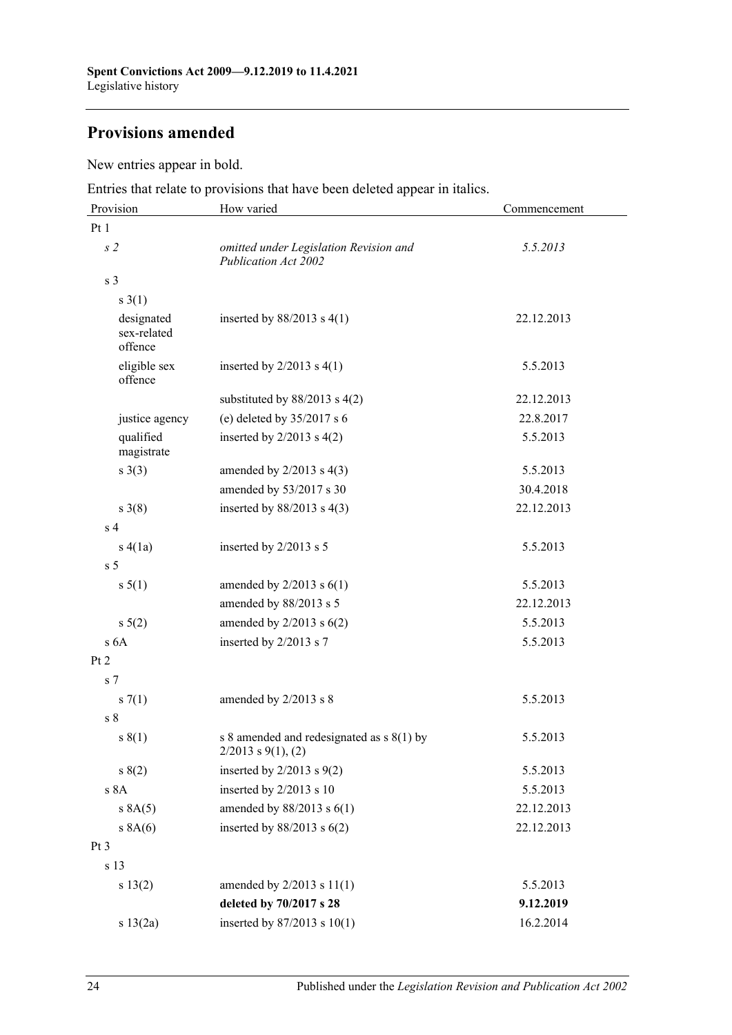## **Provisions amended**

New entries appear in bold.

Entries that relate to provisions that have been deleted appear in italics.

| Provision                            | How varied                                                           | Commencement |
|--------------------------------------|----------------------------------------------------------------------|--------------|
| Pt 1                                 |                                                                      |              |
| s <sub>2</sub>                       | omitted under Legislation Revision and<br>Publication Act 2002       | 5.5.2013     |
| s <sub>3</sub>                       |                                                                      |              |
| $s \; 3(1)$                          |                                                                      |              |
| designated<br>sex-related<br>offence | inserted by $88/2013$ s 4(1)                                         | 22.12.2013   |
| eligible sex<br>offence              | inserted by $2/2013$ s $4(1)$                                        | 5.5.2013     |
|                                      | substituted by $88/2013$ s $4(2)$                                    | 22.12.2013   |
| justice agency                       | (e) deleted by $35/2017$ s 6                                         | 22.8.2017    |
| qualified<br>magistrate              | inserted by $2/2013$ s $4(2)$                                        | 5.5.2013     |
| $s \; 3(3)$                          | amended by $2/2013$ s $4(3)$                                         | 5.5.2013     |
|                                      | amended by 53/2017 s 30                                              | 30.4.2018    |
| $s \; 3(8)$                          | inserted by $88/2013$ s 4(3)                                         | 22.12.2013   |
| s <sub>4</sub>                       |                                                                      |              |
| s(4(a)                               | inserted by 2/2013 s 5                                               | 5.5.2013     |
| s <sub>5</sub>                       |                                                                      |              |
| $s \, 5(1)$                          | amended by $2/2013$ s $6(1)$                                         | 5.5.2013     |
|                                      | amended by 88/2013 s 5                                               | 22.12.2013   |
| $s \ 5(2)$                           | amended by $2/2013$ s $6(2)$                                         | 5.5.2013     |
| s <sub>6A</sub>                      | inserted by 2/2013 s 7                                               | 5.5.2013     |
| Pt 2                                 |                                                                      |              |
| s <sub>7</sub>                       |                                                                      |              |
| s(1)                                 | amended by $2/2013$ s 8                                              | 5.5.2013     |
| s <sub>8</sub>                       |                                                                      |              |
| s(1)                                 | s 8 amended and redesignated as $s(1)$ by<br>$2/2013$ s $9(1)$ , (2) | 5.5.2013     |
| s(2)                                 | inserted by $2/2013$ s $9(2)$                                        | 5.5.2013     |
| s 8A                                 | inserted by 2/2013 s 10                                              | 5.5.2013     |
| s 8A(5)                              | amended by $88/2013$ s $6(1)$                                        | 22.12.2013   |
| s 8A(6)                              | inserted by $88/2013$ s $6(2)$                                       | 22.12.2013   |
| Pt 3                                 |                                                                      |              |
| s 13                                 |                                                                      |              |
| s 13(2)                              | amended by $2/2013$ s $11(1)$                                        | 5.5.2013     |
|                                      | deleted by 70/2017 s 28                                              | 9.12.2019    |
| s 13(2a)                             | inserted by 87/2013 s 10(1)                                          | 16.2.2014    |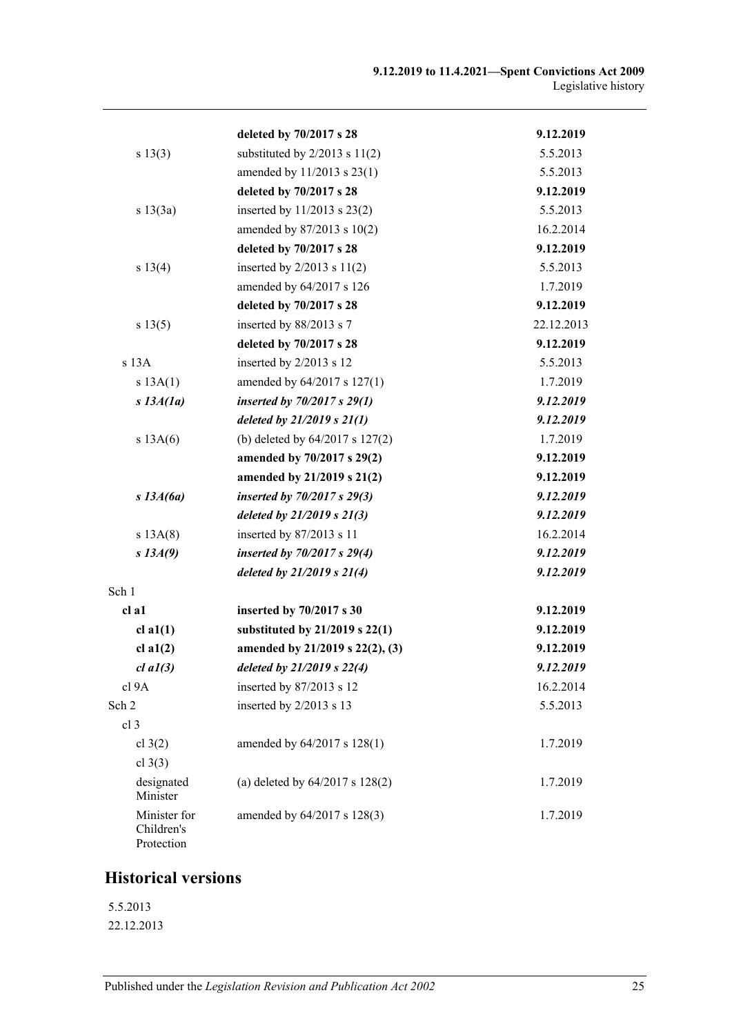|                                          | deleted by 70/2017 s 28             | 9.12.2019  |
|------------------------------------------|-------------------------------------|------------|
| s 13(3)                                  | substituted by $2/2013$ s $11(2)$   | 5.5.2013   |
|                                          | amended by 11/2013 s 23(1)          | 5.5.2013   |
|                                          | deleted by 70/2017 s 28             | 9.12.2019  |
| s 13(3a)                                 | inserted by $11/2013$ s $23(2)$     | 5.5.2013   |
|                                          | amended by 87/2013 s 10(2)          | 16.2.2014  |
|                                          | deleted by 70/2017 s 28             | 9.12.2019  |
| s 13(4)                                  | inserted by $2/2013$ s $11(2)$      | 5.5.2013   |
|                                          | amended by 64/2017 s 126            | 1.7.2019   |
|                                          | deleted by 70/2017 s 28             | 9.12.2019  |
| s 13(5)                                  | inserted by 88/2013 s 7             | 22.12.2013 |
|                                          | deleted by 70/2017 s 28             | 9.12.2019  |
| $s$ 13 $A$                               | inserted by 2/2013 s 12             | 5.5.2013   |
| s 13A(1)                                 | amended by 64/2017 s 127(1)         | 1.7.2019   |
| $s$ 13A(1a)                              | inserted by $70/2017 s 29(1)$       | 9.12.2019  |
|                                          | deleted by $21/2019$ s $21(1)$      | 9.12.2019  |
| s 13A(6)                                 | (b) deleted by 64/2017 s 127(2)     | 1.7.2019   |
|                                          | amended by 70/2017 s 29(2)          | 9.12.2019  |
|                                          | amended by 21/2019 s 21(2)          | 9.12.2019  |
| $s$ 13A(6a)                              | inserted by $70/2017 s 29(3)$       | 9.12.2019  |
|                                          | deleted by $21/2019$ s $21(3)$      | 9.12.2019  |
| s 13A(8)                                 | inserted by 87/2013 s 11            | 16.2.2014  |
| $s$ 13 $A(9)$                            | inserted by $70/2017 s 29(4)$       | 9.12.2019  |
|                                          | deleted by $21/2019$ s $21(4)$      | 9.12.2019  |
| Sch 1                                    |                                     |            |
| cl a1                                    | inserted by 70/2017 s 30            | 9.12.2019  |
| $cl$ a $1(1)$                            | substituted by 21/2019 s 22(1)      | 9.12.2019  |
| cl $a1(2)$                               | amended by 21/2019 s 22(2), (3)     | 9.12.2019  |
| $cl$ $a1(3)$                             | deleted by 21/2019 s 22(4)          | 9.12.2019  |
| cl 9A                                    | inserted by 87/2013 s 12            | 16.2.2014  |
| Sch 2                                    | inserted by 2/2013 s 13             | 5.5.2013   |
| cl <sub>3</sub>                          |                                     |            |
| cl $3(2)$                                | amended by 64/2017 s 128(1)         | 1.7.2019   |
| cl $3(3)$                                |                                     |            |
| designated<br>Minister                   | (a) deleted by $64/2017$ s $128(2)$ | 1.7.2019   |
| Minister for<br>Children's<br>Protection | amended by 64/2017 s 128(3)         | 1.7.2019   |

## **Historical versions**

## 5.5.2013 22.12.2013